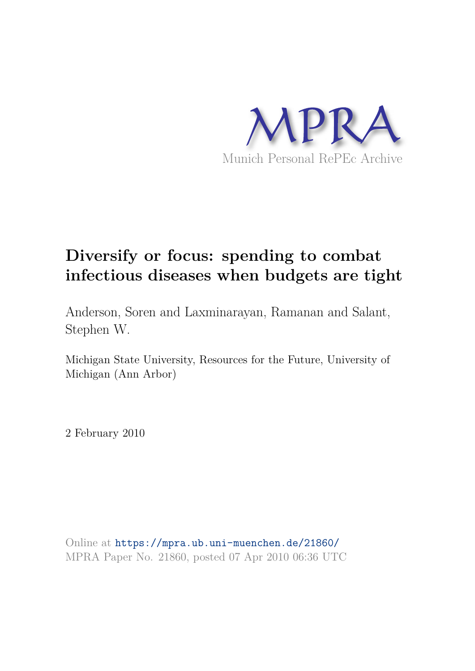

# **Diversify or focus: spending to combat infectious diseases when budgets are tight**

Anderson, Soren and Laxminarayan, Ramanan and Salant, Stephen W.

Michigan State University, Resources for the Future, University of Michigan (Ann Arbor)

2 February 2010

Online at https://mpra.ub.uni-muenchen.de/21860/ MPRA Paper No. 21860, posted 07 Apr 2010 06:36 UTC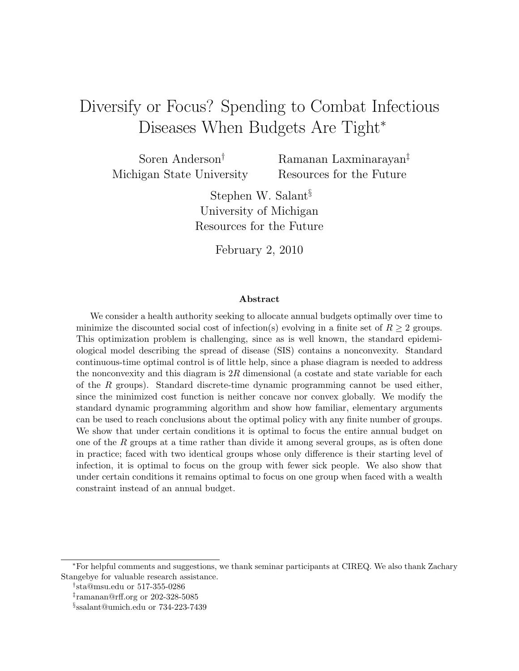## Diversify or Focus? Spending to Combat Infectious Diseases When Budgets Are Tight<sup>\*</sup>

Soren Anderson† Michigan State University

Ramanan Laxminarayan‡ Resources for the Future

Stephen W. Salant§ University of Michigan Resources for the Future

February 2, 2010

#### Abstract

We consider a health authority seeking to allocate annual budgets optimally over time to minimize the discounted social cost of infection(s) evolving in a finite set of  $R \geq 2$  groups. This optimization problem is challenging, since as is well known, the standard epidemiological model describing the spread of disease (SIS) contains a nonconvexity. Standard continuous-time optimal control is of little help, since a phase diagram is needed to address the nonconvexity and this diagram is  $2R$  dimensional (a costate and state variable for each of the R groups). Standard discrete-time dynamic programming cannot be used either, since the minimized cost function is neither concave nor convex globally. We modify the standard dynamic programming algorithm and show how familiar, elementary arguments can be used to reach conclusions about the optimal policy with any finite number of groups. We show that under certain conditions it is optimal to focus the entire annual budget on one of the  $R$  groups at a time rather than divide it among several groups, as is often done in practice; faced with two identical groups whose only difference is their starting level of infection, it is optimal to focus on the group with fewer sick people. We also show that under certain conditions it remains optimal to focus on one group when faced with a wealth constraint instead of an annual budget.

<sup>∗</sup>For helpful comments and suggestions, we thank seminar participants at CIREQ. We also thank Zachary Stangebye for valuable research assistance.

<sup>†</sup> sta@msu.edu or 517-355-0286

<sup>‡</sup> ramanan@rff.org or 202-328-5085

<sup>§</sup> ssalant@umich.edu or 734-223-7439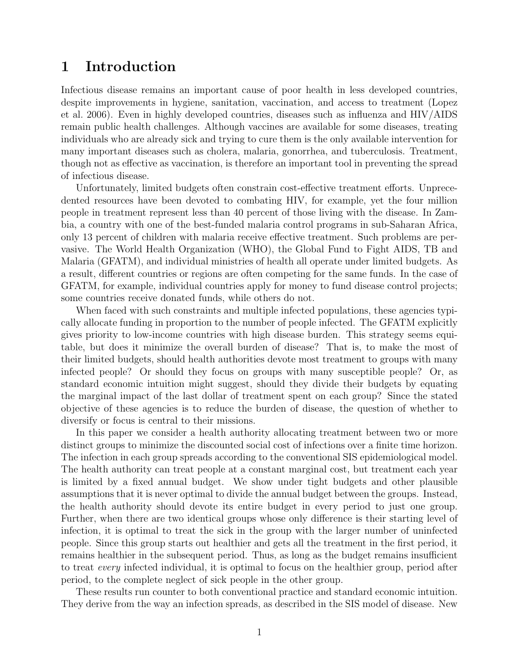## 1 Introduction

Infectious disease remains an important cause of poor health in less developed countries, despite improvements in hygiene, sanitation, vaccination, and access to treatment (Lopez et al. 2006). Even in highly developed countries, diseases such as influenza and HIV/AIDS remain public health challenges. Although vaccines are available for some diseases, treating individuals who are already sick and trying to cure them is the only available intervention for many important diseases such as cholera, malaria, gonorrhea, and tuberculosis. Treatment, though not as effective as vaccination, is therefore an important tool in preventing the spread of infectious disease.

Unfortunately, limited budgets often constrain cost-effective treatment efforts. Unprecedented resources have been devoted to combating HIV, for example, yet the four million people in treatment represent less than 40 percent of those living with the disease. In Zambia, a country with one of the best-funded malaria control programs in sub-Saharan Africa, only 13 percent of children with malaria receive effective treatment. Such problems are pervasive. The World Health Organization (WHO), the Global Fund to Fight AIDS, TB and Malaria (GFATM), and individual ministries of health all operate under limited budgets. As a result, different countries or regions are often competing for the same funds. In the case of GFATM, for example, individual countries apply for money to fund disease control projects; some countries receive donated funds, while others do not.

When faced with such constraints and multiple infected populations, these agencies typically allocate funding in proportion to the number of people infected. The GFATM explicitly gives priority to low-income countries with high disease burden. This strategy seems equitable, but does it minimize the overall burden of disease? That is, to make the most of their limited budgets, should health authorities devote most treatment to groups with many infected people? Or should they focus on groups with many susceptible people? Or, as standard economic intuition might suggest, should they divide their budgets by equating the marginal impact of the last dollar of treatment spent on each group? Since the stated objective of these agencies is to reduce the burden of disease, the question of whether to diversify or focus is central to their missions.

In this paper we consider a health authority allocating treatment between two or more distinct groups to minimize the discounted social cost of infections over a finite time horizon. The infection in each group spreads according to the conventional SIS epidemiological model. The health authority can treat people at a constant marginal cost, but treatment each year is limited by a fixed annual budget. We show under tight budgets and other plausible assumptions that it is never optimal to divide the annual budget between the groups. Instead, the health authority should devote its entire budget in every period to just one group. Further, when there are two identical groups whose only difference is their starting level of infection, it is optimal to treat the sick in the group with the larger number of uninfected people. Since this group starts out healthier and gets all the treatment in the first period, it remains healthier in the subsequent period. Thus, as long as the budget remains insufficient to treat *every* infected individual, it is optimal to focus on the healthier group, period after period, to the complete neglect of sick people in the other group.

These results run counter to both conventional practice and standard economic intuition. They derive from the way an infection spreads, as described in the SIS model of disease. New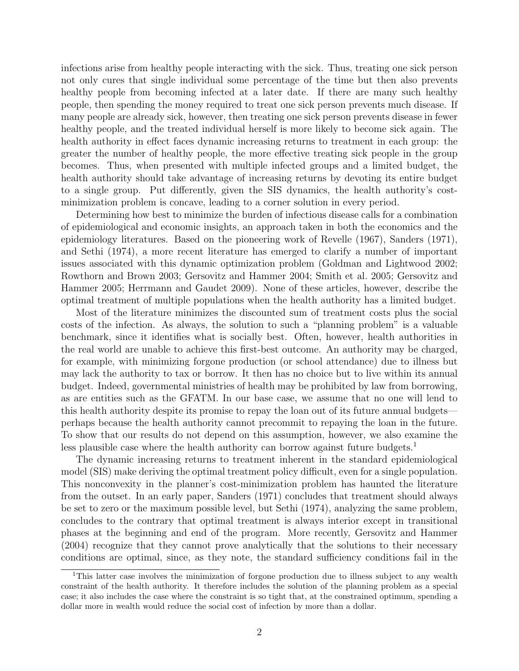infections arise from healthy people interacting with the sick. Thus, treating one sick person not only cures that single individual some percentage of the time but then also prevents healthy people from becoming infected at a later date. If there are many such healthy people, then spending the money required to treat one sick person prevents much disease. If many people are already sick, however, then treating one sick person prevents disease in fewer healthy people, and the treated individual herself is more likely to become sick again. The health authority in effect faces dynamic increasing returns to treatment in each group: the greater the number of healthy people, the more effective treating sick people in the group becomes. Thus, when presented with multiple infected groups and a limited budget, the health authority should take advantage of increasing returns by devoting its entire budget to a single group. Put differently, given the SIS dynamics, the health authority's costminimization problem is concave, leading to a corner solution in every period.

Determining how best to minimize the burden of infectious disease calls for a combination of epidemiological and economic insights, an approach taken in both the economics and the epidemiology literatures. Based on the pioneering work of Revelle (1967), Sanders (1971), and Sethi (1974), a more recent literature has emerged to clarify a number of important issues associated with this dynamic optimization problem (Goldman and Lightwood 2002; Rowthorn and Brown 2003; Gersovitz and Hammer 2004; Smith et al. 2005; Gersovitz and Hammer 2005; Herrmann and Gaudet 2009). None of these articles, however, describe the optimal treatment of multiple populations when the health authority has a limited budget.

Most of the literature minimizes the discounted sum of treatment costs plus the social costs of the infection. As always, the solution to such a "planning problem" is a valuable benchmark, since it identifies what is socially best. Often, however, health authorities in the real world are unable to achieve this first-best outcome. An authority may be charged, for example, with minimizing forgone production (or school attendance) due to illness but may lack the authority to tax or borrow. It then has no choice but to live within its annual budget. Indeed, governmental ministries of health may be prohibited by law from borrowing, as are entities such as the GFATM. In our base case, we assume that no one will lend to this health authority despite its promise to repay the loan out of its future annual budgets perhaps because the health authority cannot precommit to repaying the loan in the future. To show that our results do not depend on this assumption, however, we also examine the less plausible case where the health authority can borrow against future budgets.<sup>1</sup>

The dynamic increasing returns to treatment inherent in the standard epidemiological model (SIS) make deriving the optimal treatment policy difficult, even for a single population. This nonconvexity in the planner's cost-minimization problem has haunted the literature from the outset. In an early paper, Sanders (1971) concludes that treatment should always be set to zero or the maximum possible level, but Sethi (1974), analyzing the same problem, concludes to the contrary that optimal treatment is always interior except in transitional phases at the beginning and end of the program. More recently, Gersovitz and Hammer (2004) recognize that they cannot prove analytically that the solutions to their necessary conditions are optimal, since, as they note, the standard sufficiency conditions fail in the

<sup>1</sup>This latter case involves the minimization of forgone production due to illness subject to any wealth constraint of the health authority. It therefore includes the solution of the planning problem as a special case; it also includes the case where the constraint is so tight that, at the constrained optimum, spending a dollar more in wealth would reduce the social cost of infection by more than a dollar.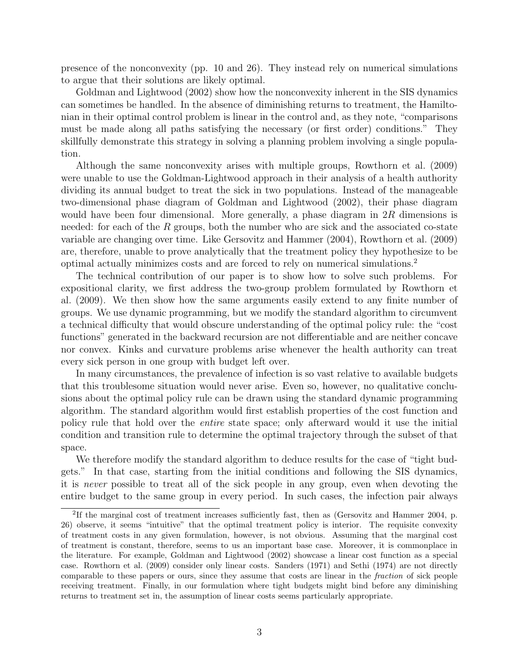presence of the nonconvexity (pp. 10 and 26). They instead rely on numerical simulations to argue that their solutions are likely optimal.

Goldman and Lightwood (2002) show how the nonconvexity inherent in the SIS dynamics can sometimes be handled. In the absence of diminishing returns to treatment, the Hamiltonian in their optimal control problem is linear in the control and, as they note, "comparisons must be made along all paths satisfying the necessary (or first order) conditions." They skillfully demonstrate this strategy in solving a planning problem involving a single population.

Although the same nonconvexity arises with multiple groups, Rowthorn et al. (2009) were unable to use the Goldman-Lightwood approach in their analysis of a health authority dividing its annual budget to treat the sick in two populations. Instead of the manageable two-dimensional phase diagram of Goldman and Lightwood (2002), their phase diagram would have been four dimensional. More generally, a phase diagram in  $2R$  dimensions is needed: for each of the R groups, both the number who are sick and the associated co-state variable are changing over time. Like Gersovitz and Hammer (2004), Rowthorn et al. (2009) are, therefore, unable to prove analytically that the treatment policy they hypothesize to be optimal actually minimizes costs and are forced to rely on numerical simulations.<sup>2</sup>

The technical contribution of our paper is to show how to solve such problems. For expositional clarity, we first address the two-group problem formulated by Rowthorn et al. (2009). We then show how the same arguments easily extend to any finite number of groups. We use dynamic programming, but we modify the standard algorithm to circumvent a technical difficulty that would obscure understanding of the optimal policy rule: the "cost functions" generated in the backward recursion are not differentiable and are neither concave nor convex. Kinks and curvature problems arise whenever the health authority can treat every sick person in one group with budget left over.

In many circumstances, the prevalence of infection is so vast relative to available budgets that this troublesome situation would never arise. Even so, however, no qualitative conclusions about the optimal policy rule can be drawn using the standard dynamic programming algorithm. The standard algorithm would first establish properties of the cost function and policy rule that hold over the *entire* state space; only afterward would it use the initial condition and transition rule to determine the optimal trajectory through the subset of that space.

We therefore modify the standard algorithm to deduce results for the case of "tight budgets." In that case, starting from the initial conditions and following the SIS dynamics, it is *never* possible to treat all of the sick people in any group, even when devoting the entire budget to the same group in every period. In such cases, the infection pair always

<sup>&</sup>lt;sup>2</sup>If the marginal cost of treatment increases sufficiently fast, then as (Gersovitz and Hammer 2004, p. 26) observe, it seems "intuitive" that the optimal treatment policy is interior. The requisite convexity of treatment costs in any given formulation, however, is not obvious. Assuming that the marginal cost of treatment is constant, therefore, seems to us an important base case. Moreover, it is commonplace in the literature. For example, Goldman and Lightwood (2002) showcase a linear cost function as a special case. Rowthorn et al. (2009) consider only linear costs. Sanders (1971) and Sethi (1974) are not directly comparable to these papers or ours, since they assume that costs are linear in the fraction of sick people receiving treatment. Finally, in our formulation where tight budgets might bind before any diminishing returns to treatment set in, the assumption of linear costs seems particularly appropriate.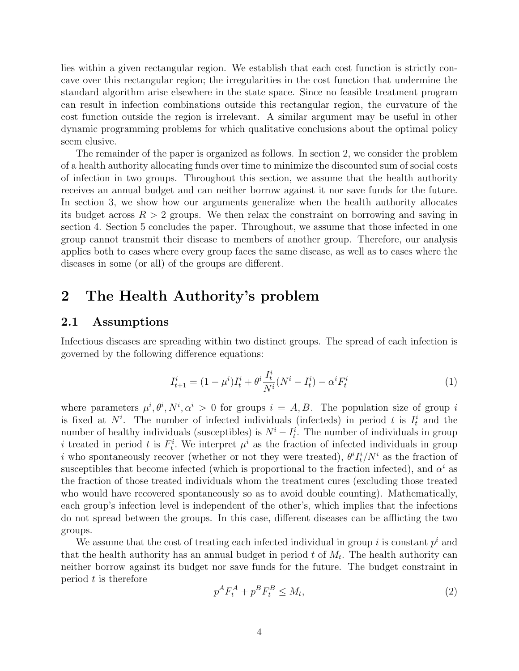lies within a given rectangular region. We establish that each cost function is strictly concave over this rectangular region; the irregularities in the cost function that undermine the standard algorithm arise elsewhere in the state space. Since no feasible treatment program can result in infection combinations outside this rectangular region, the curvature of the cost function outside the region is irrelevant. A similar argument may be useful in other dynamic programming problems for which qualitative conclusions about the optimal policy seem elusive.

The remainder of the paper is organized as follows. In section 2, we consider the problem of a health authority allocating funds over time to minimize the discounted sum of social costs of infection in two groups. Throughout this section, we assume that the health authority receives an annual budget and can neither borrow against it nor save funds for the future. In section 3, we show how our arguments generalize when the health authority allocates its budget across  $R > 2$  groups. We then relax the constraint on borrowing and saving in section 4. Section 5 concludes the paper. Throughout, we assume that those infected in one group cannot transmit their disease to members of another group. Therefore, our analysis applies both to cases where every group faces the same disease, as well as to cases where the diseases in some (or all) of the groups are different.

## 2 The Health Authority's problem

#### 2.1 Assumptions

Infectious diseases are spreading within two distinct groups. The spread of each infection is governed by the following difference equations:

$$
I_{t+1}^i = (1 - \mu^i)I_t^i + \theta^i \frac{I_t^i}{N^i} (N^i - I_t^i) - \alpha^i F_t^i
$$
 (1)

where parameters  $\mu^i, \theta^i, N^i, \alpha^i > 0$  for groups  $i = A, B$ . The population size of group i is fixed at  $N^i$ . The number of infected individuals (infecteds) in period t is  $I_t^i$  and the number of healthy individuals (susceptibles) is  $N^{i} - I_t^{i}$ . The number of individuals in group i treated in period t is  $F_t^i$ . We interpret  $\mu^i$  as the fraction of infected individuals in group *i* who spontaneously recover (whether or not they were treated),  $\theta^{i} I_{t}^{i}/N^{i}$  as the fraction of susceptibles that become infected (which is proportional to the fraction infected), and  $\alpha^i$  as the fraction of those treated individuals whom the treatment cures (excluding those treated who would have recovered spontaneously so as to avoid double counting). Mathematically, each group's infection level is independent of the other's, which implies that the infections do not spread between the groups. In this case, different diseases can be afflicting the two groups.

We assume that the cost of treating each infected individual in group  $i$  is constant  $p^i$  and that the health authority has an annual budget in period  $t$  of  $M_t$ . The health authority can neither borrow against its budget nor save funds for the future. The budget constraint in period  $t$  is therefore

$$
p^A F_t^A + p^B F_t^B \le M_t,\tag{2}
$$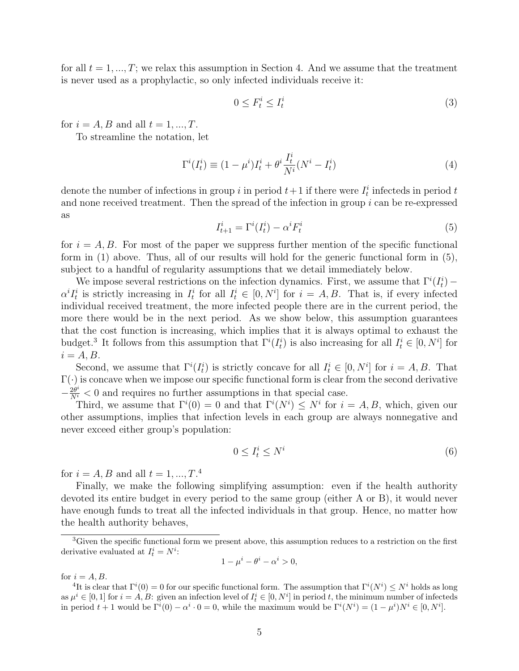for all  $t = 1, ..., T$ ; we relax this assumption in Section 4. And we assume that the treatment is never used as a prophylactic, so only infected individuals receive it:

$$
0 \le F_t^i \le I_t^i \tag{3}
$$

for  $i = A, B$  and all  $t = 1, ..., T$ .

To streamline the notation, let

$$
\Gamma^i(I_t^i) \equiv (1 - \mu^i)I_t^i + \theta^i \frac{I_t^i}{N^i}(N^i - I_t^i)
$$
\n(4)

denote the number of infections in group i in period  $t+1$  if there were  $I_t^i$  infecteds in period t and none received treatment. Then the spread of the infection in group  $i$  can be re-expressed as

$$
I_{t+1}^i = \Gamma^i(I_t^i) - \alpha^i F_t^i \tag{5}
$$

for  $i = A, B$ . For most of the paper we suppress further mention of the specific functional form in (1) above. Thus, all of our results will hold for the generic functional form in (5), subject to a handful of regularity assumptions that we detail immediately below.

We impose several restrictions on the infection dynamics. First, we assume that  $\Gamma^{i}(I_t^i)$  –  $\alpha^{i} I_{t}^{i}$  is strictly increasing in  $I_{t}^{i}$  for all  $I_{t}^{i} \in [0, N^{i}]$  for  $i = A, B$ . That is, if every infected individual received treatment, the more infected people there are in the current period, the more there would be in the next period. As we show below, this assumption guarantees that the cost function is increasing, which implies that it is always optimal to exhaust the budget.<sup>3</sup> It follows from this assumption that  $\Gamma^{i}(I_t^i)$  is also increasing for all  $I_t^i \in [0, N^i]$  for  $i = A, B.$ 

Second, we assume that  $\Gamma^{i}(I_t^i)$  is strictly concave for all  $I_t^i \in [0, N^i]$  for  $i = A, B$ . That  $\Gamma(\cdot)$  is concave when we impose our specific functional form is clear from the second derivative  $-\frac{2\theta^i}{N^i} < 0$  and requires no further assumptions in that special case.

Third, we assume that  $\Gamma^{i}(0) = 0$  and that  $\Gamma^{i}(N^{i}) \leq N^{i}$  for  $i = A, B$ , which, given our other assumptions, implies that infection levels in each group are always nonnegative and never exceed either group's population:

$$
0 \le I_t^i \le N^i \tag{6}
$$

for  $i = A, B$  and all  $t = 1, ..., T$ .<sup>4</sup>

Finally, we make the following simplifying assumption: even if the health authority devoted its entire budget in every period to the same group (either A or B), it would never have enough funds to treat all the infected individuals in that group. Hence, no matter how the health authority behaves,

$$
1-\mu^i-\theta^i-\alpha^i>0,
$$

for  $i = A, B$ .

 ${}^{3}$ Given the specific functional form we present above, this assumption reduces to a restriction on the first derivative evaluated at  $I_t^i = N^i$ :

<sup>&</sup>lt;sup>4</sup>It is clear that  $\Gamma^i(0) = 0$  for our specific functional form. The assumption that  $\Gamma^i(N^i) \leq N^i$  holds as long as  $\mu^i \in [0,1]$  for  $i = A, B$ : given an infection level of  $I_t^i \in [0, N^i]$  in period t, the minimum number of infecteds in period  $t + 1$  would be  $\Gamma^i(0) - \alpha^i \cdot 0 = 0$ , while the maximum would be  $\Gamma^i(N^i) = (1 - \mu^i)N^i \in [0, N^i]$ .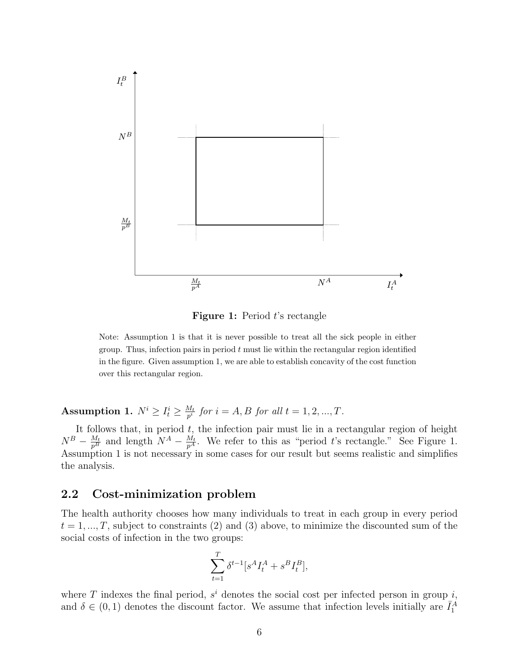

**Figure 1:** Period t's rectangle

Note: Assumption 1 is that it is never possible to treat all the sick people in either group. Thus, infection pairs in period  $t$  must lie within the rectangular region identified in the figure. Given assumption 1, we are able to establish concavity of the cost function over this rectangular region.

Assumption 1.  $N^i \geq I^i_t \geq \frac{M_t}{p^i}$  $\frac{M_t}{p^i}$  *for*  $i = A, B$  *for all*  $t = 1, 2, ..., T$ *.* 

It follows that, in period  $t$ , the infection pair must lie in a rectangular region of height  $N^B - \frac{M_t}{p^B}$  and length  $N^A - \frac{M_t}{p^A}$ . We refer to this as "period t's rectangle." See Figure 1. Assumption 1 is not necessary in some cases for our result but seems realistic and simplifies the analysis.

#### 2.2 Cost-minimization problem

The health authority chooses how many individuals to treat in each group in every period  $t = 1, ..., T$ , subject to constraints (2) and (3) above, to minimize the discounted sum of the social costs of infection in the two groups:

$$
\sum_{t=1}^{T} \delta^{t-1} [s^A I_t^A + s^B I_t^B],
$$

where T indexes the final period,  $s^i$  denotes the social cost per infected person in group i, and  $\delta \in (0,1)$  denotes the discount factor. We assume that infection levels initially are  $\bar{I}_1^A$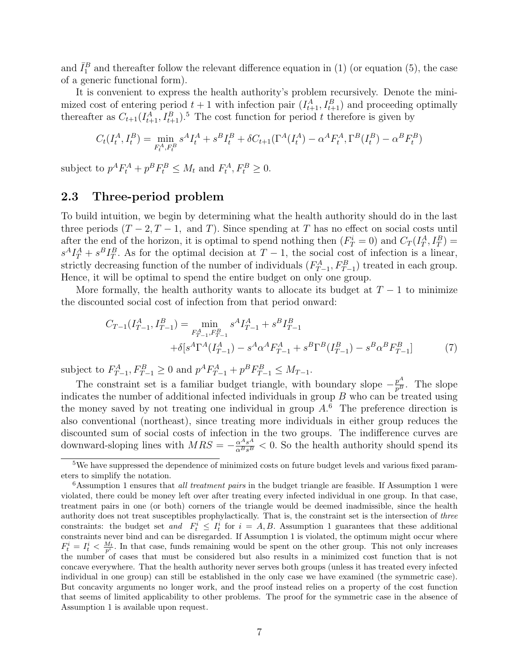and  $\bar{I}_1^B$  and thereafter follow the relevant difference equation in (1) (or equation (5), the case of a generic functional form).

It is convenient to express the health authority's problem recursively. Denote the minimized cost of entering period  $t+1$  with infection pair  $(I_{t+1}^A, I_{t+1}^B)$  and proceeding optimally thereafter as  $C_{t+1}(I_{t+1}^A, I_{t+1}^B)$ .<sup>5</sup> The cost function for period t therefore is given by

$$
C_t(I_t^A, I_t^B) = \min_{F_t^A, F_t^B} s^A I_t^A + s^B I_t^B + \delta C_{t+1}(\Gamma^A(I_t^A) - \alpha^A F_t^A, \Gamma^B(I_t^B) - \alpha^B F_t^B)
$$

subject to  $p^A F_t^A + p^B F_t^B \leq M_t$  and  $F_t^A, F_t^B \geq 0$ .

#### 2.3 Three-period problem

To build intuition, we begin by determining what the health authority should do in the last three periods  $(T-2, T-1, A)$  and T). Since spending at T has no effect on social costs until after the end of the horizon, it is optimal to spend nothing then  $(F_T^i = 0)$  and  $C_T(I_T^A, I_T^B) =$  $s^A I_T^A + s^B I_T^B$ . As for the optimal decision at  $T-1$ , the social cost of infection is a linear, strictly decreasing function of the number of individuals  $(F_{T-1}^A, F_{T-1}^B)$  treated in each group. Hence, it will be optimal to spend the entire budget on only one group.

More formally, the health authority wants to allocate its budget at  $T-1$  to minimize the discounted social cost of infection from that period onward:

$$
C_{T-1}(I_{T-1}^A, I_{T-1}^B) = \min_{F_{T-1}^A, F_{T-1}^B} s^A I_{T-1}^A + s^B I_{T-1}^B
$$
  
 
$$
+ \delta[s^A \Gamma^A (I_{T-1}^A) - s^A \alpha^A F_{T-1}^A + s^B \Gamma^B (I_{T-1}^B) - s^B \alpha^B F_{T-1}^B]
$$
(7)

subject to  $F_{T-1}^A, F_{T-1}^B \ge 0$  and  $p^A F_{T-1}^A + p^B F_{T-1}^B \le M_{T-1}$ .

The constraint set is a familiar budget triangle, with boundary slope  $-\frac{p^A}{p^B}$ . The slope indicates the number of additional infected individuals in group  $B$  who can be treated using the money saved by not treating one individual in group  $A<sup>6</sup>$ . The preference direction is also conventional (northeast), since treating more individuals in either group reduces the discounted sum of social costs of infection in the two groups. The indifference curves are downward-sloping lines with  $MRS = -\frac{\alpha^A s^A}{\alpha^B s^B} < 0$ . So the health authority should spend its

<sup>&</sup>lt;sup>5</sup>We have suppressed the dependence of minimized costs on future budget levels and various fixed parameters to simplify the notation.

 $6$ Assumption 1 ensures that *all treatment pairs* in the budget triangle are feasible. If Assumption 1 were violated, there could be money left over after treating every infected individual in one group. In that case, treatment pairs in one (or both) corners of the triangle would be deemed inadmissible, since the health authority does not treat susceptibles prophylactically. That is, the constraint set is the intersection of three constraints: the budget set and  $F_t^i \leq I_t^i$  for  $i = A, B$ . Assumption 1 guarantees that these additional constraints never bind and can be disregarded. If Assumption 1 is violated, the optimum might occur where  $F_t^i = I_t^i < \frac{M_t}{p^i}$ . In that case, funds remaining would be spent on the other group. This not only increases the number of cases that must be considered but also results in a minimized cost function that is not concave everywhere. That the health authority never serves both groups (unless it has treated every infected individual in one group) can still be established in the only case we have examined (the symmetric case). But concavity arguments no longer work, and the proof instead relies on a property of the cost function that seems of limited applicability to other problems. The proof for the symmetric case in the absence of Assumption 1 is available upon request.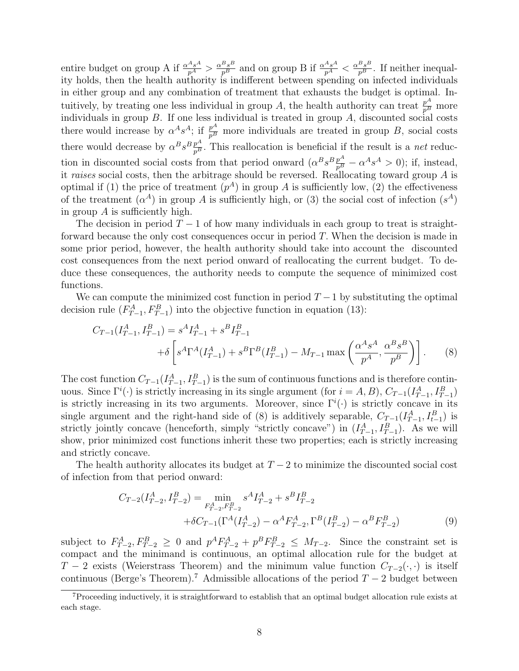entire budget on group A if  $\frac{\alpha^A s^A}{p^A} > \frac{\alpha^B s^B}{p^B}$  and on group B if  $\frac{\alpha^A s^A}{p^A} < \frac{\alpha^B s^B}{p^B}$ . If neither inequality holds, then the health authority is indifferent between spending on infected individuals in either group and any combination of treatment that exhausts the budget is optimal. Intuitively, by treating one less individual in group A, the health authority can treat  $\frac{p^A}{p^B}$  more individuals in group  $B$ . If one less individual is treated in group  $A$ , discounted social costs there would increase by  $\alpha^A s^A$ ; if  $\frac{p^A}{p^B}$  more individuals are treated in group B, social costs there would decrease by  $\alpha^B s^B \frac{p^A}{p^B}$ . This reallocation is beneficial if the result is a *net* reduction in discounted social costs from that period onward  $(\alpha^B s^B \frac{p^A}{p^B} - \alpha^A s^A > 0)$ ; if, instead, it *raises* social costs, then the arbitrage should be reversed. Reallocating toward group A is optimal if (1) the price of treatment  $(p^A)$  in group A is sufficiently low, (2) the effectiveness of the treatment  $(\alpha^A)$  in group A is sufficiently high, or (3) the social cost of infection  $(s^A)$ in group  $\tilde{A}$  is sufficiently high.

The decision in period  $T-1$  of how many individuals in each group to treat is straightforward because the only cost consequences occur in period T. When the decision is made in some prior period, however, the health authority should take into account the discounted cost consequences from the next period onward of reallocating the current budget. To deduce these consequences, the authority needs to compute the sequence of minimized cost functions.

We can compute the minimized cost function in period  $T-1$  by substituting the optimal decision rule  $(F_{T-1}^A, F_{T-1}^B)$  into the objective function in equation (13):

$$
C_{T-1}(I_{T-1}^A, I_{T-1}^B) = s^A I_{T-1}^A + s^B I_{T-1}^B
$$
  
+  $\delta \left[ s^A \Gamma^A (I_{T-1}^A) + s^B \Gamma^B (I_{T-1}^B) - M_{T-1} \max \left( \frac{\alpha^A s^A}{p^A}, \frac{\alpha^B s^B}{p^B} \right) \right].$  (8)

The cost function  $C_{T-1}(I_{T-1}^A, I_{T-1}^B)$  is the sum of continuous functions and is therefore continuous. Since  $\Gamma^i(\cdot)$  is strictly increasing in its single argument (for  $i = A, B$ ),  $C_{T-1}(I_{T-1}^A, I_{T-1}^B)$ is strictly increasing in its two arguments. Moreover, since  $\Gamma^i(\cdot)$  is strictly concave in its single argument and the right-hand side of (8) is additively separable,  $C_{T-1}(I_{T-1}^A, I_{t-1}^B)$  is strictly jointly concave (henceforth, simply "strictly concave") in  $(I_{T-1}^A, I_{T-1}^B)$ . As we will show, prior minimized cost functions inherit these two properties; each is strictly increasing and strictly concave.

The health authority allocates its budget at  $T - 2$  to minimize the discounted social cost of infection from that period onward:

$$
C_{T-2}(I_{T-2}^A, I_{T-2}^B) = \min_{F_{T-2}^A, F_{T-2}^B} s^A I_{T-2}^A + s^B I_{T-2}^B
$$
  
 
$$
+ \delta C_{T-1}(\Gamma^A(I_{T-2}^A) - \alpha^A F_{T-2}^A, \Gamma^B(I_{T-2}^B) - \alpha^B F_{T-2}^B)
$$
(9)

subject to  $F_{T-2}^A, F_{T-2}^B \geq 0$  and  $p^A F_{T-2}^A + p^B F_{T-2}^B \leq M_{T-2}$ . Since the constraint set is compact and the minimand is continuous, an optimal allocation rule for the budget at  $T-2$  exists (Weierstrass Theorem) and the minimum value function  $C_{T-2}(\cdot, \cdot)$  is itself continuous (Berge's Theorem).<sup>7</sup> Admissible allocations of the period  $T - 2$  budget between

<sup>7</sup>Proceeding inductively, it is straightforward to establish that an optimal budget allocation rule exists at each stage.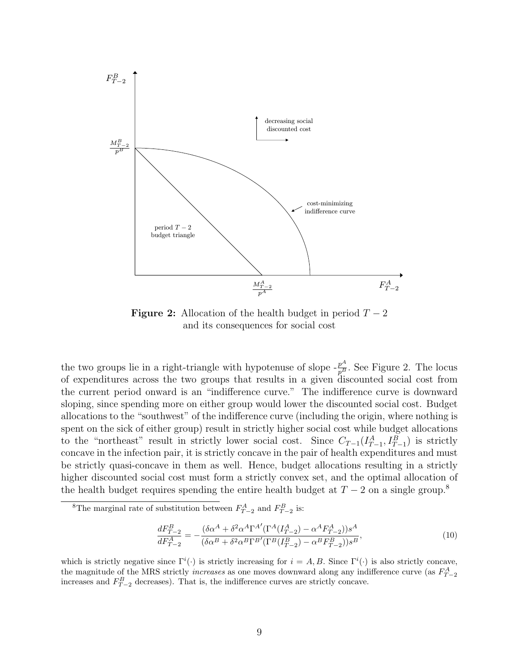

**Figure 2:** Allocation of the health budget in period  $T - 2$ and its consequences for social cost

the two groups lie in a right-triangle with hypotenuse of slope  $-\frac{p^A}{p^B}$ . See Figure 2. The locus of expenditures across the two groups that results in a given discounted social cost from the current period onward is an "indifference curve." The indifference curve is downward sloping, since spending more on either group would lower the discounted social cost. Budget allocations to the "southwest" of the indifference curve (including the origin, where nothing is spent on the sick of either group) result in strictly higher social cost while budget allocations to the "northeast" result in strictly lower social cost. Since  $C_{T-1}(I_{T-1}^A, I_{T-1}^B)$  is strictly concave in the infection pair, it is strictly concave in the pair of health expenditures and must be strictly quasi-concave in them as well. Hence, budget allocations resulting in a strictly higher discounted social cost must form a strictly convex set, and the optimal allocation of the health budget requires spending the entire health budget at  $T - 2$  on a single group.<sup>8</sup>

$$
\frac{dF_{T-2}^B}{dF_{T-2}^A} = -\frac{(\delta \alpha^A + \delta^2 \alpha^A \Gamma^{A'} (\Gamma^A (I_{T-2}^A) - \alpha^A F_{T-2}^A))s^A}{(\delta \alpha^B + \delta^2 \alpha^B \Gamma^{B'} (\Gamma^B (I_{T-2}^B) - \alpha^B F_{T-2}^B))s^B},\tag{10}
$$

which is strictly negative since  $\Gamma^i(\cdot)$  is strictly increasing for  $i = A, B$ . Since  $\Gamma^i(\cdot)$  is also strictly concave, the magnitude of the MRS strictly *increases* as one moves downward along any indifference curve (as  $F_{T-2}^A$ increases and  $F_{T-2}^B$  decreases). That is, the indifference curves are strictly concave.

<sup>&</sup>lt;sup>8</sup>The marginal rate of substitution between  $F_{T-2}^A$  and  $F_{T-2}^B$  is: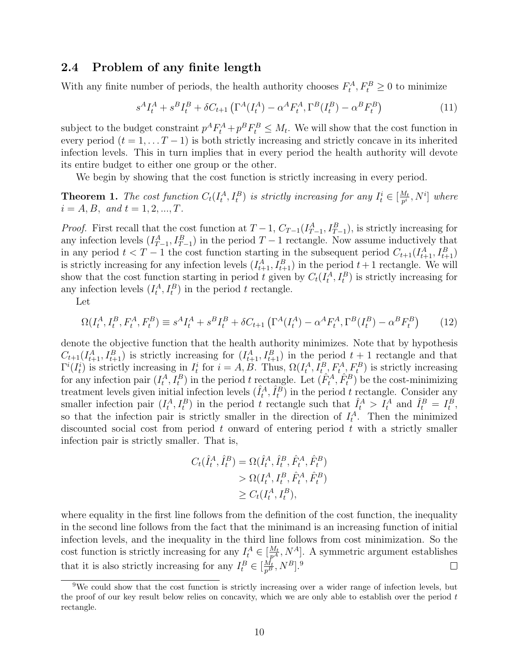#### 2.4 Problem of any finite length

With any finite number of periods, the health authority chooses  $F_t^A, F_t^B \geq 0$  to minimize

$$
s^{A}I_{t}^{A} + s^{B}I_{t}^{B} + \delta C_{t+1} \left( \Gamma^{A}(I_{t}^{A}) - \alpha^{A}F_{t}^{A}, \Gamma^{B}(I_{t}^{B}) - \alpha^{B}F_{t}^{B} \right)
$$
(11)

subject to the budget constraint  $p^A F_t^A + p^B F_t^B \leq M_t$ . We will show that the cost function in every period  $(t = 1, \ldots T-1)$  is both strictly increasing and strictly concave in its inherited infection levels. This in turn implies that in every period the health authority will devote its entire budget to either one group or the other.

We begin by showing that the cost function is strictly increasing in every period.

**Theorem 1.** The cost function  $C_t(I_t^A, I_t^B)$  is strictly increasing for any  $I_t^i \in [\frac{M_t}{p^i}]$  $\frac{M_t}{p^i}, N^i]$  where  $i = A, B, \text{ and } t = 1, 2, ..., T.$ 

*Proof.* First recall that the cost function at  $T-1$ ,  $C_{T-1}(I_{T-1}^A, I_{T-1}^B)$ , is strictly increasing for any infection levels  $(I_{T-1}^A, I_{T-1}^B)$  in the period  $T-1$  rectangle. Now assume inductively that in any period  $t < T - 1$  the cost function starting in the subsequent period  $C_{t+1}(I_{t+1}^A, I_{t+1}^B)$ is strictly increasing for any infection levels  $(I_{t+1}^A, I_{t+1}^B)$  in the period  $t+1$  rectangle. We will show that the cost function starting in period t given by  $C_t(I_t^A, I_t^B)$  is strictly increasing for any infection levels  $(I_t^A, I_t^B)$  in the period t rectangle.

Let

$$
\Omega(I_t^A, I_t^B, F_t^A, F_t^B) \equiv s^A I_t^A + s^B I_t^B + \delta C_{t+1} \left( \Gamma^A(I_t^A) - \alpha^A F_t^A, \Gamma^B(I_t^B) - \alpha^B F_t^B \right) \tag{12}
$$

denote the objective function that the health authority minimizes. Note that by hypothesis  $C_{t+1}(I_{t+1}^A, I_{t+1}^B)$  is strictly increasing for  $(I_{t+1}^A, I_{t+1}^B)$  in the period  $t+1$  rectangle and that  $\Gamma^i(I_t^i)$  is strictly increasing in  $I_t^i$  for  $i = A, B$ . Thus,  $\Omega(I_t^A, I_{t,\gamma}^B, F_{t,\gamma}^A, F_t^B)$  is strictly increasing for any infection pair  $(I_t^A, I_t^B)$  in the period t rectangle. Let  $(\hat{F}_t^A, \hat{F}_t^B)$  be the cost-minimizing treatment levels given initial infection levels  $(\hat{I}_t^A, \hat{I}_t^B)$  in the period t rectangle. Consider any smaller infection pair  $(I_t^A, I_t^B)$  in the period t rectangle such that  $\hat{I}_t^A > I_t^A$  and  $\hat{I}_t^B = I_t^B$ , so that the infection pair is strictly smaller in the direction of  $I_t^A$ . Then the minimized discounted social cost from period t onward of entering period t with a strictly smaller infection pair is strictly smaller. That is,

$$
C_t(\hat{I}_t^A, \hat{I}_t^B) = \Omega(\hat{I}_t^A, \hat{I}_t^B, \hat{F}_t^A, \hat{F}_t^B) > \Omega(I_t^A, I_t^B, \hat{F}_t^A, \hat{F}_t^B) \ge C_t(I_t^A, I_t^B),
$$

where equality in the first line follows from the definition of the cost function, the inequality in the second line follows from the fact that the minimand is an increasing function of initial infection levels, and the inequality in the third line follows from cost minimization. So the cost function is strictly increasing for any  $I_t^A \in [\frac{M_t}{p^A}, N^A]$ . A symmetric argument establishes that it is also strictly increasing for any  $I_t^B \in [\frac{M_t}{p^B}, N^B]$ .<sup>9</sup>  $\Box$ 

<sup>9</sup>We could show that the cost function is strictly increasing over a wider range of infection levels, but the proof of our key result below relies on concavity, which we are only able to establish over the period t rectangle.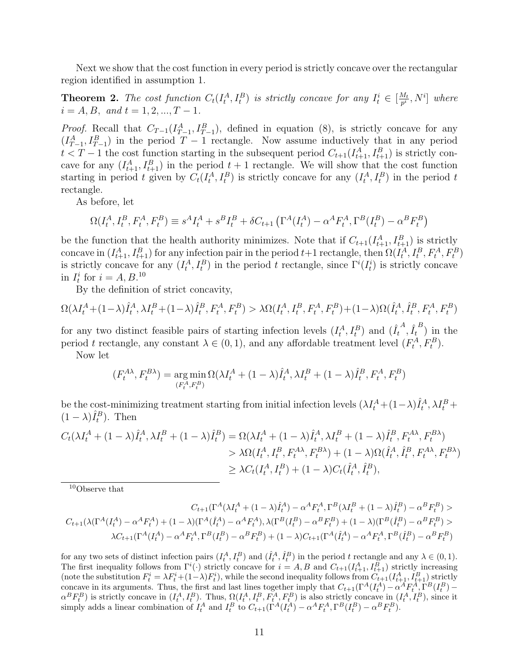Next we show that the cost function in every period is strictly concave over the rectangular region identified in assumption 1.

**Theorem 2.** The cost function  $C_t(I_t^A, I_t^B)$  is strictly concave for any  $I_t^i \in [\frac{M_t}{p^i}]$  $\frac{M_t}{p^i}, N^i]$  where  $i = A, B, \text{ and } t = 1, 2, ..., T - 1.$ 

*Proof.* Recall that  $C_{T-1}(I_{T-1}^A, I_{T-1}^B)$ , defined in equation (8), is strictly concave for any  $(I_{T-1}^A, I_{T-1}^B)$  in the period  $T-1$  rectangle. Now assume inductively that in any period  $t < T - 1$  the cost function starting in the subsequent period  $C_{t+1}(I_{t+1}^A, I_{t+1}^B)$  is strictly concave for any  $(I_{t+1}^A, I_{t+1}^B)$  in the period  $t+1$  rectangle. We will show that the cost function starting in period t given by  $C_t(I_t^A, I_t^B)$  is strictly concave for any  $(I_t^A, I_t^B)$  in the period t rectangle.

As before, let

$$
\Omega(I_t^A, I_t^B, F_t^A, F_t^B) \equiv s^A I_t^A + s^B I_t^B + \delta C_{t+1} \left( \Gamma^A(I_t^A) - \alpha^A F_t^A, \Gamma^B(I_t^B) - \alpha^B F_t^B \right)
$$

be the function that the health authority minimizes. Note that if  $C_{t+1}(I_{t+1}^A, I_{t+1}^B)$  is strictly concave in  $(I_{t+1}^A, I_{t+1}^B)$  for any infection pair in the period  $t+1$  rectangle, then  $\Omega(I_t^A, I_t^B, F_t^A, F_t^B)$ is strictly concave for any  $(I_t^A, I_t^B)$  in the period t rectangle, since  $\Gamma^i(I_t^i)$  is strictly concave in  $I_t^i$  for  $i = A, B$ .<sup>10</sup>

By the definition of strict concavity,

$$
\Omega(\lambda I_t^A + (1 - \lambda)\hat{I}_t^A, \lambda I_t^B + (1 - \lambda)\hat{I}_t^B, F_t^A, F_t^B) > \lambda \Omega(I_t^A, I_t^B, F_t^A, F_t^B) + (1 - \lambda)\Omega(\hat{I}_t^A, \hat{I}_t^B, F_t^A, F_t^B)
$$

for any two distinct feasible pairs of starting infection levels  $(I_t^A, I_t^B)$  and  $(\hat{I}_t^A, \hat{I}_t^B)$  in the period t rectangle, any constant  $\lambda \in (0, 1)$ , and any affordable treatment level  $(F_t^A, F_t^B)$ .

Now let

$$
(F_t^{A\lambda}, F_t^{B\lambda}) = \underset{(F_t^A, F_t^B)}{\arg\min} \Omega(\lambda I_t^A + (1 - \lambda)\hat{I}_t^A, \lambda I_t^B + (1 - \lambda)\hat{I}_t^B, F_t^A, F_t^B)
$$

be the cost-minimizing treatment starting from initial infection levels  $(\lambda I_t^A + (1-\lambda)\hat{I}_t^A, \lambda I_t^B +$  $(1 - \lambda)\hat{I}_t^B$ ). Then

$$
C_t(\lambda I_t^A + (1 - \lambda)\hat{I}_t^A, \lambda I_t^B + (1 - \lambda)\hat{I}_t^B) = \Omega(\lambda I_t^A + (1 - \lambda)\hat{I}_t^A, \lambda I_t^B + (1 - \lambda)\hat{I}_t^B, F_t^{A\lambda}, F_t^{B\lambda})
$$
  
>  $\lambda \Omega(I_t^A, I_t^B, F_t^{A\lambda}, F_t^{B\lambda}) + (1 - \lambda)\Omega(\hat{I}_t^A, \hat{I}_t^B, F_t^{A\lambda}, F_t^{B\lambda})$   
 $\geq \lambda C_t(I_t^A, I_t^B) + (1 - \lambda)C_t(\hat{I}_t^A, \hat{I}_t^B),$ 

<sup>10</sup>Observe that

$$
C_{t+1}(\Gamma^A(\lambda I_t^A + (1-\lambda)\hat{I}_t^A) - \alpha^A F_t^A, \Gamma^B(\lambda I_t^B + (1-\lambda)\hat{I}_t^B) - \alpha^B F_t^B) >
$$
  

$$
C_{t+1}(\lambda(\Gamma^A(I_t^A) - \alpha^A F_t^A) + (1-\lambda)(\Gamma^A(\hat{I}_t^A) - \alpha^A F_t^A), \lambda(\Gamma^B(I_t^B) - \alpha^B F_t^B) + (1-\lambda)(\Gamma^B(\hat{I}_t^B) - \alpha^B F_t^B) >
$$
  

$$
\lambda C_{t+1}(\Gamma^A(I_t^A) - \alpha^A F_t^A, \Gamma^B(I_t^B) - \alpha^B F_t^B) + (1-\lambda)C_{t+1}(\Gamma^A(\hat{I}_t^A) - \alpha^A F_t^A, \Gamma^B(\hat{I}_t^B) - \alpha^B F_t^B)
$$

for any two sets of distinct infection pairs  $(I_t^A, I_t^B)$  and  $(\hat{I}_t^A, \hat{I}_t^B)$  in the period t rectangle and any  $\lambda \in (0, 1)$ . The first inequality follows from  $\Gamma^i(\cdot)$  strictly concave for  $i = A, B$  and  $C_{t+1}(I_{t+1}^A, I_{t+1}^B)$  strictly increasing (note the substitution  $F_t^i = \lambda F_t^i + (1-\lambda)F_t^i$ ), while the second inequality follows from  $C_{t+1}(I_{t+1}^A, I_{t+1}^B)$  strictly concave in its arguments. Thus, the first and last lines together imply that  $C_{t+1}(\Gamma^A(I_t^A) - \alpha^A F_t^A[\Gamma^B(I_t^B) \alpha^B F_t^B$ ) is strictly concave in  $(I_t^A, I_t^B)$ . Thus,  $\Omega(I_t^A, I_t^B, F_t^A, F_t^B)$  is also strictly concave in  $(I_t^A, I_t^B)$ , since it simply adds a linear combination of  $I_t^A$  and  $I_t^B$  to  $C_{t+1}(\Gamma^A(I_t^A) - \alpha^A F_t^A, \Gamma^B(I_t^B) - \alpha^B F_t^B)$ .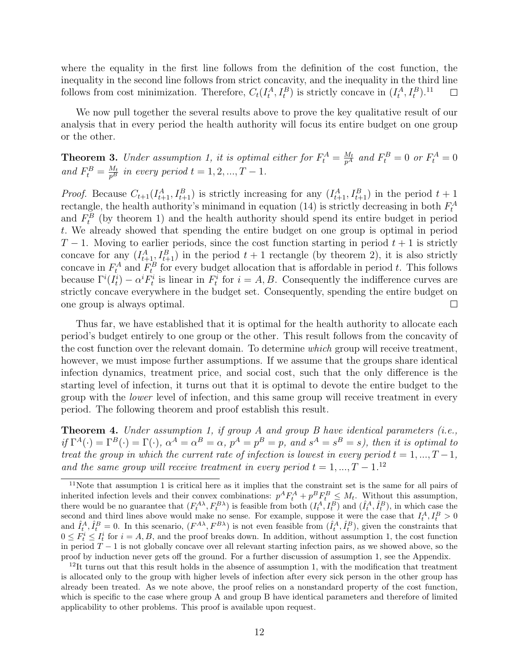where the equality in the first line follows from the definition of the cost function, the inequality in the second line follows from strict concavity, and the inequality in the third line follows from cost minimization. Therefore,  $C_t(I_t^A, I_t^B)$  is strictly concave in  $(I_t^A, I_t^B)$ .<sup>11</sup>  $\Box$ 

We now pull together the several results above to prove the key qualitative result of our analysis that in every period the health authority will focus its entire budget on one group or the other.

**Theorem 3.** Under assumption 1, it is optimal either for  $F_t^A = \frac{M_t}{p^A}$  and  $F_t^B = 0$  or  $F_t^A = 0$ *and*  $F_t^B = \frac{M_t}{p^B}$  *in every period*  $t = 1, 2, ..., T - 1$ *.* 

*Proof.* Because  $C_{t+1}(I_{t+1}^A, I_{t+1}^B)$  is strictly increasing for any  $(I_{t+1}^A, I_{t+1}^B)$  in the period  $t+1$ rectangle, the health authority's minimand in equation (14) is strictly decreasing in both  $F_t^A$ and  $F_t^B$  (by theorem 1) and the health authority should spend its entire budget in period t. We already showed that spending the entire budget on one group is optimal in period  $T-1$ . Moving to earlier periods, since the cost function starting in period  $t+1$  is strictly concave for any  $(I_{t+1}^A, I_{t+1}^B)$  in the period  $t+1$  rectangle (by theorem 2), it is also strictly concave in  $F_t^A$  and  $F_t^B$  for every budget allocation that is affordable in period t. This follows because  $\Gamma^{i}(I_t^i) - \alpha^{i} F_t^i$  is linear in  $F_t^i$  for  $i = A, B$ . Consequently the indifference curves are strictly concave everywhere in the budget set. Consequently, spending the entire budget on one group is always optimal.  $\Box$ 

Thus far, we have established that it is optimal for the health authority to allocate each period's budget entirely to one group or the other. This result follows from the concavity of the cost function over the relevant domain. To determine *which* group will receive treatment, however, we must impose further assumptions. If we assume that the groups share identical infection dynamics, treatment price, and social cost, such that the only difference is the starting level of infection, it turns out that it is optimal to devote the entire budget to the group with the *lower* level of infection, and this same group will receive treatment in every period. The following theorem and proof establish this result.

Theorem 4. *Under assumption 1, if group A and group B have identical parameters (i.e.,*  $if \Gamma^A(\cdot) = \Gamma^B(\cdot) = \Gamma(\cdot), \ \alpha^A = \alpha^B = \alpha, \ p^A = p^B = p, \ and \ s^A = s^B = s$ , then it is optimal to *treat the group in which the current rate of infection is lowest in every period*  $t = 1, ..., T - 1$ , *and the same group will receive treatment in every period*  $t = 1, ..., T - 1$ .<sup>12</sup>

<sup>11</sup>Note that assumption 1 is critical here as it implies that the constraint set is the same for all pairs of inherited infection levels and their convex combinations:  $p^A F_t^A + p^B F_t^B \leq M_t$ . Without this assumption, there would be no guarantee that  $(F_t^{A\lambda}, F_t^{B\lambda})$  is feasible from both  $(I_t^A, I_t^B)$  and  $(\hat{I}_t^A, \hat{I}_t^B)$ , in which case the second and third lines above would make no sense. For example, suppose it were the case that  $I_t^A, I_t^B > 0$ and  $\hat{I}_t^A$ ,  $\hat{I}_t^B = 0$ . In this scenario,  $(F^{A\lambda}, F^{B\lambda})$  is not even feasible from  $(\hat{I}_t^A, \hat{I}_t^B)$ , given the constraints that  $0 \leq F_t^i \leq I_t^i$  for  $i = A, B$ , and the proof breaks down. In addition, without assumption 1, the cost function in period  $T-1$  is not globally concave over all relevant starting infection pairs, as we showed above, so the proof by induction never gets off the ground. For a further discussion of assumption 1, see the Appendix.

 $12$ It turns out that this result holds in the absence of assumption 1, with the modification that treatment is allocated only to the group with higher levels of infection after every sick person in the other group has already been treated. As we note above, the proof relies on a nonstandard property of the cost function, which is specific to the case where group A and group B have identical parameters and therefore of limited applicability to other problems. This proof is available upon request.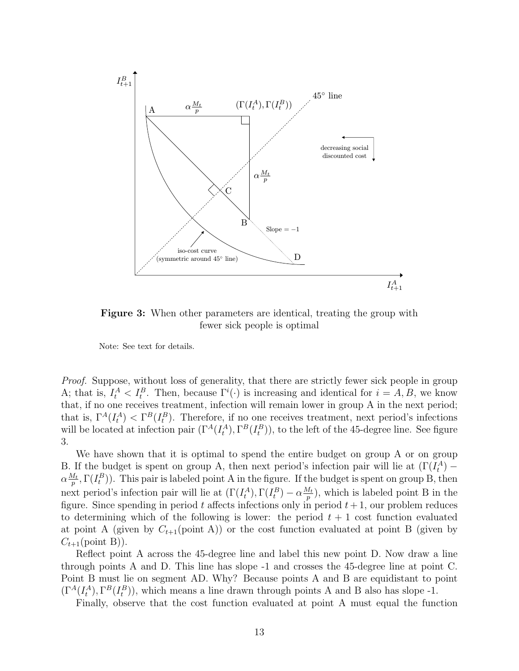

Figure 3: When other parameters are identical, treating the group with fewer sick people is optimal

Note: See text for details.

*Proof.* Suppose, without loss of generality, that there are strictly fewer sick people in group A; that is,  $I_t^A < I_t^B$ . Then, because  $\Gamma^i(\cdot)$  is increasing and identical for  $i = A, B$ , we know that, if no one receives treatment, infection will remain lower in group A in the next period; that is,  $\Gamma^A(I_t^A) < \Gamma^B(I_t^B)$ . Therefore, if no one receives treatment, next period's infections will be located at infection pair  $(\Gamma^A(I_t^A), \Gamma^B(I_t^B))$ , to the left of the 45-degree line. See figure 3.

We have shown that it is optimal to spend the entire budget on group A or on group B. If the budget is spent on group A, then next period's infection pair will lie at  $(\Gamma(I_t^A))$  –  $\alpha \frac{M_t}{n}$  $\frac{M_t}{p}, \Gamma(I_t^B)$ ). This pair is labeled point A in the figure. If the budget is spent on group B, then next period's infection pair will lie at  $(\Gamma(I_t^A), \Gamma(I_t^B) - \alpha \frac{M_t}{p})$  $\frac{y_t}{p}$ ), which is labeled point B in the figure. Since spending in period t affects infections only in period  $t + 1$ , our problem reduces to determining which of the following is lower: the period  $t + 1$  cost function evaluated at point A (given by  $C_{t+1}(\text{point A})$ ) or the cost function evaluated at point B (given by  $C_{t+1}(\text{point } B)$ .

Reflect point A across the 45-degree line and label this new point D. Now draw a line through points A and D. This line has slope -1 and crosses the 45-degree line at point C. Point B must lie on segment AD. Why? Because points A and B are equidistant to point  $(\Gamma^A(I_t^A), \Gamma^B(I_t^B)),$  which means a line drawn through points A and B also has slope -1.

Finally, observe that the cost function evaluated at point A must equal the function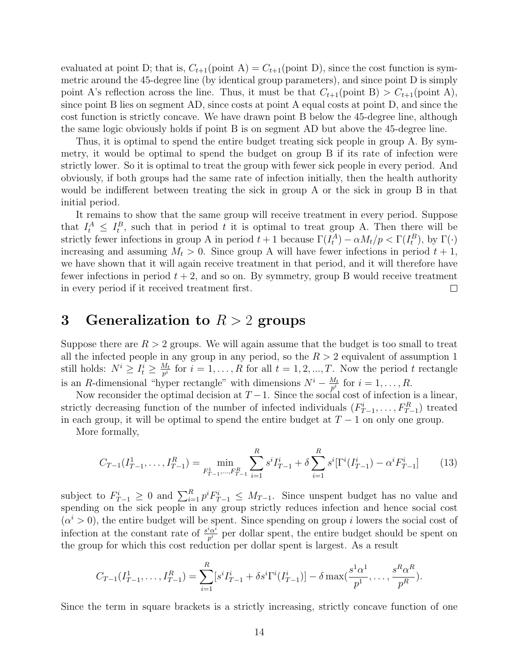evaluated at point D; that is,  $C_{t+1}(\text{point A}) = C_{t+1}(\text{point D})$ , since the cost function is symmetric around the 45-degree line (by identical group parameters), and since point D is simply point A's reflection across the line. Thus, it must be that  $C_{t+1}(\text{point B}) > C_{t+1}(\text{point A})$ , since point B lies on segment AD, since costs at point A equal costs at point D, and since the cost function is strictly concave. We have drawn point B below the 45-degree line, although the same logic obviously holds if point B is on segment AD but above the 45-degree line.

Thus, it is optimal to spend the entire budget treating sick people in group A. By symmetry, it would be optimal to spend the budget on group B if its rate of infection were strictly lower. So it is optimal to treat the group with fewer sick people in every period. And obviously, if both groups had the same rate of infection initially, then the health authority would be indifferent between treating the sick in group A or the sick in group B in that initial period.

It remains to show that the same group will receive treatment in every period. Suppose that  $I_t^A \leq I_t^B$ , such that in period t it is optimal to treat group A. Then there will be strictly fewer infections in group A in period  $t+1$  because  $\Gamma(I_t^A) - \alpha M_t/p < \Gamma(I_t^B)$ , by  $\Gamma(\cdot)$ increasing and assuming  $M_t > 0$ . Since group A will have fewer infections in period  $t + 1$ , we have shown that it will again receive treatment in that period, and it will therefore have fewer infections in period  $t + 2$ , and so on. By symmetry, group B would receive treatment in every period if it received treatment first.  $\Box$ 

## 3 Generalization to  $R > 2$  groups

Suppose there are  $R > 2$  groups. We will again assume that the budget is too small to treat all the infected people in any group in any period, so the  $R > 2$  equivalent of assumption 1 still holds:  $N^i \geq I_t^i \geq \frac{M_t}{p^i}$  $\frac{M_t}{p^i}$  for  $i = 1, \ldots, R$  for all  $t = 1, 2, \ldots, T$ . Now the period t rectangle is an R-dimensional "hyper rectangle" with dimensions  $N^{i} - \frac{M_t}{n^{i}}$  $\frac{M_t}{p^i}$  for  $i = 1, \ldots, R$ .

Now reconsider the optimal decision at  $T-1$ . Since the social cost of infection is a linear, strictly decreasing function of the number of infected individuals  $(F_{T-1}^i, \ldots, F_{T-1}^R)$  treated in each group, it will be optimal to spend the entire budget at  $T - 1$  on only one group.

More formally,

$$
C_{T-1}(I_{T-1}^1, \dots, I_{T-1}^R) = \min_{F_{T-1}^1, \dots, F_{T-1}^R} \sum_{i=1}^R s^i I_{T-1}^i + \delta \sum_{i=1}^R s^i [\Gamma^i(I_{T-1}^i) - \alpha^i F_{T-1}^i]
$$
(13)

subject to  $F_{T-1}^i \geq 0$  and  $\sum_{i=1}^R p^i F_{T-1}^i \leq M_{T-1}$ . Since unspent budget has no value and spending on the sick people in any group strictly reduces infection and hence social cost  $(\alpha^i > 0)$ , the entire budget will be spent. Since spending on group i lowers the social cost of infection at the constant rate of  $\frac{s^i\alpha^i}{n^i}$  $\frac{\partial^{\alpha}}{p^i}$  per dollar spent, the entire budget should be spent on the group for which this cost reduction per dollar spent is largest. As a result

$$
C_{T-1}(I_{T-1}^1, \ldots, I_{T-1}^R) = \sum_{i=1}^R [s^i I_{T-1}^i + \delta s^i \Gamma^i(I_{T-1}^i)] - \delta \max(\frac{s^1 \alpha^1}{p^1}, \ldots, \frac{s^R \alpha^R}{p^R}).
$$

Since the term in square brackets is a strictly increasing, strictly concave function of one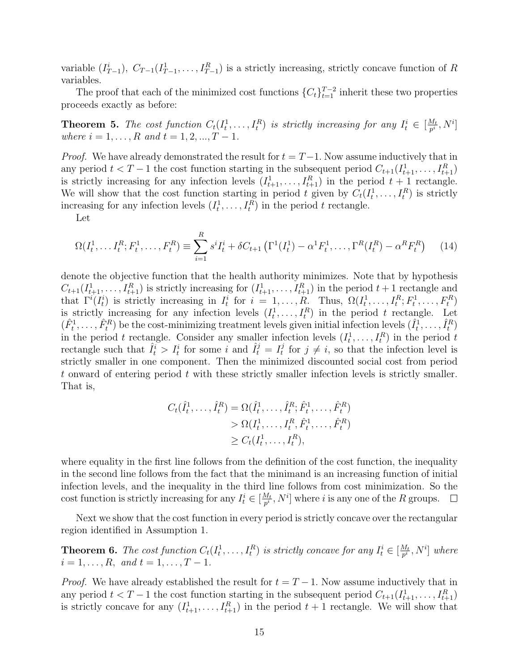variable  $(I_{T-1}^i)$ ,  $C_{T-1}(I_{T-1}^1, \ldots, I_{T-1}^R)$  is a strictly increasing, strictly concave function of R variables.

The proof that each of the minimized cost functions  ${C<sub>t</sub>}_{t=1}^{T-2}$  inherit these two properties proceeds exactly as before:

**Theorem 5.** The cost function  $C_t(I_t^1,\ldots,I_t^R)$  is strictly increasing for any  $I_t^i \in \left[\frac{M_t}{p^i}\right]$  $\frac{M_t}{p^i}, N^i]$ *where*  $i = 1, ..., R$  *and*  $t = 1, 2, ..., T - 1$ *.* 

*Proof.* We have already demonstrated the result for  $t = T-1$ . Now assume inductively that in any period  $t < T - 1$  the cost function starting in the subsequent period  $C_{t+1}(I_{t+1}^1, \ldots, I_{t+1}^R)$ is strictly increasing for any infection levels  $(I_{t+1}^1, \ldots, I_{t+1}^R)$  in the period  $t + 1$  rectangle. We will show that the cost function starting in period t given by  $C_t(I_t^1,\ldots,I_t^R)$  is strictly increasing for any infection levels  $(I_t^1, \ldots, I_t^R)$  in the period t rectangle.

Let

$$
\Omega(I_t^1, \dots, I_t^R; F_t^1, \dots, F_t^R) \equiv \sum_{i=1}^R s^i I_t^i + \delta C_{t+1} \left( \Gamma^1(I_t^1) - \alpha^1 F_t^1, \dots, \Gamma^R(I_t^R) - \alpha^R F_t^R \right) \tag{14}
$$

denote the objective function that the health authority minimizes. Note that by hypothesis  $C_{t+1}(I_{t+1}^1, \ldots, I_{t+1}^R)$  is strictly increasing for  $(I_{t+1}^1, \ldots, I_{t+1}^R)$  in the period  $t+1$  rectangle and that  $\Gamma^i(I_t^i)$  is strictly increasing in  $I_t^i$  for  $i = 1, ..., R$ . Thus,  $\Omega(I_t^1, ..., I_t^R; F_t^1, ..., F_t^R)$ is strictly increasing for any infection levels  $(I_t^1, \ldots, I_t^R)$  in the period t rectangle. Let  $(\hat{F}_t^1,\ldots,\hat{F}_t^R)$  be the cost-minimizing treatment levels given initial infection levels  $(\hat{I}_t^1,\ldots,\hat{I}_t^R)$ in the period t rectangle. Consider any smaller infection levels  $(I_t^1, \ldots, I_t^R)$  in the period t rectangle such that  $\hat{I}_t^i > I_t^i$  for some i and  $\hat{I}_t^j = I_t^j$  $t_t^j$  for  $j \neq i$ , so that the infection level is strictly smaller in one component. Then the minimized discounted social cost from period t onward of entering period  $t$  with these strictly smaller infection levels is strictly smaller. That is,

$$
C_t(\hat{I}_t^1, ..., \hat{I}_t^R) = \Omega(\hat{I}_t^1, ..., \hat{I}_t^R; \hat{F}_t^1, ..., \hat{F}_t^R) > \Omega(I_t^1, ..., I_t^R, \hat{F}_t^1, ..., \hat{F}_t^R) \ge C_t(I_t^1, ..., I_t^R),
$$

where equality in the first line follows from the definition of the cost function, the inequality in the second line follows from the fact that the minimand is an increasing function of initial infection levels, and the inequality in the third line follows from cost minimization. So the cost function is strictly increasing for any  $I_t^i \in [\frac{M_t}{p^i}]$  $\frac{M_t}{p^i}, N^i]$  where i is any one of the R groups.  $\Box$ 

Next we show that the cost function in every period is strictly concave over the rectangular region identified in Assumption 1.

**Theorem 6.** The cost function  $C_t(I_t^1,\ldots,I_t^R)$  is strictly concave for any  $I_t^i \in [\frac{M_t}{p^i}]$  $\frac{M_t}{p^i}, N^i]$  where  $i = 1, \ldots, R, \text{ and } t = 1, \ldots, T - 1.$ 

*Proof.* We have already established the result for  $t = T - 1$ . Now assume inductively that in any period  $t < T - 1$  the cost function starting in the subsequent period  $C_{t+1}(I_{t+1}^1, \ldots, I_{t+1}^R)$ is strictly concave for any  $(I_{t+1}^1, \ldots, I_{t+1}^R)$  in the period  $t+1$  rectangle. We will show that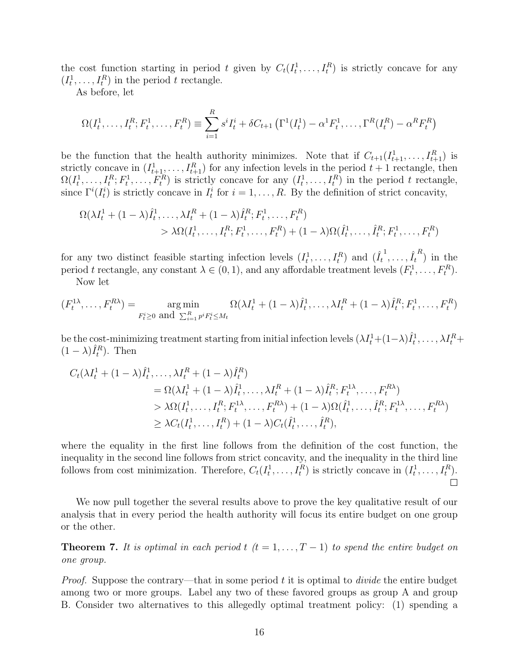the cost function starting in period t given by  $C_t(I_t^1,\ldots,I_t^R)$  is strictly concave for any  $(I_t^1, \ldots, I_t^R)$  in the period t rectangle.

As before, let

$$
\Omega(I_t^1, \ldots, I_t^R; F_t^1, \ldots, F_t^R) \equiv \sum_{i=1}^R s^i I_t^i + \delta C_{t+1} \left( \Gamma^1(I_t^1) - \alpha^1 F_t^1, \ldots, \Gamma^R(I_t^R) - \alpha^R F_t^R \right)
$$

be the function that the health authority minimizes. Note that if  $C_{t+1}(I_{t+1}^1, \ldots, I_{t+1}^R)$  is strictly concave in  $(I_{t+1}^1, \ldots, I_{t+1}^R)$  for any infection levels in the period  $t+1$  rectangle, then  $\Omega(I_t^1,\ldots,I_t^R;F_t^1,\ldots,F_t^R)$  is strictly concave for any  $(I_t^1,\ldots,I_t^R)$  in the period t rectangle, since  $\Gamma^{i}(I_{t}^{i})$  is strictly concave in  $I_{t}^{i}$  for  $i = 1, ..., R$ . By the definition of strict concavity,

$$
\Omega(\lambda I_t^1 + (1 - \lambda)\hat{I}_t^1, \dots, \lambda I_t^R + (1 - \lambda)\hat{I}_t^R; F_t^1, \dots, F_t^R) > \lambda \Omega(I_t^1, \dots, I_t^R; F_t^1, \dots, F_t^R) + (1 - \lambda)\Omega(\hat{I}_t^1, \dots, \hat{I}_t^R; F_t^1, \dots, F_t^R)
$$

for any two distinct feasible starting infection levels  $(I_t^1, \ldots, I_t^R)$  and  $(\hat{I}_t^1, \ldots, \hat{I}_t^R)$  in the period t rectangle, any constant  $\lambda \in (0, 1)$ , and any affordable treatment levels  $(F_t^1, \ldots, F_t^R)$ . Now let

$$
(F_t^{1\lambda},\ldots,F_t^{R\lambda}) = \underset{F_t^i \geq 0 \text{ and } \sum_{i=1}^R p^i F_t^i \leq M_t}{\arg\min} \Omega(\lambda I_t^1 + (1-\lambda)\hat{I}_t^1,\ldots,\lambda I_t^R + (1-\lambda)\hat{I}_t^R; F_t^1,\ldots,F_t^R)
$$

be the cost-minimizing treatment starting from initial infection levels  $(\lambda I_t^1 + (1-\lambda)\hat{I}_t^1, \ldots, \lambda I_t^R +$  $(1 - \lambda)\hat{I}_t^R$ ). Then

$$
C_t(\lambda I_t^1 + (1 - \lambda)\hat{I}_t^1, \dots, \lambda I_t^R + (1 - \lambda)\hat{I}_t^R) = \Omega(\lambda I_t^1 + (1 - \lambda)\hat{I}_t^1, \dots, \lambda I_t^R + (1 - \lambda)\hat{I}_t^R; F_t^{1\lambda}, \dots, F_t^{R\lambda}) > \lambda \Omega(I_t^1, \dots, I_t^R; F_t^{1\lambda}, \dots, F_t^{R\lambda}) + (1 - \lambda)\Omega(\hat{I}_t^1, \dots, \hat{I}_t^R; F_t^{1\lambda}, \dots, F_t^{R\lambda}) \geq \lambda C_t(I_t^1, \dots, I_t^R) + (1 - \lambda)C_t(\hat{I}_t^1, \dots, \hat{I}_t^R),
$$

where the equality in the first line follows from the definition of the cost function, the inequality in the second line follows from strict concavity, and the inequality in the third line follows from cost minimization. Therefore,  $C_t(I_t^1, \ldots, I_t^R)$  is strictly concave in  $(I_t^1, \ldots, I_t^R)$ .  $\Box$ 

We now pull together the several results above to prove the key qualitative result of our analysis that in every period the health authority will focus its entire budget on one group or the other.

**Theorem 7.** It is optimal in each period  $t$   $(t = 1, \ldots, T-1)$  to spend the entire budget on *one group.*

*Proof.* Suppose the contrary—that in some period t it is optimal to *divide* the entire budget among two or more groups. Label any two of these favored groups as group A and group B. Consider two alternatives to this allegedly optimal treatment policy: (1) spending a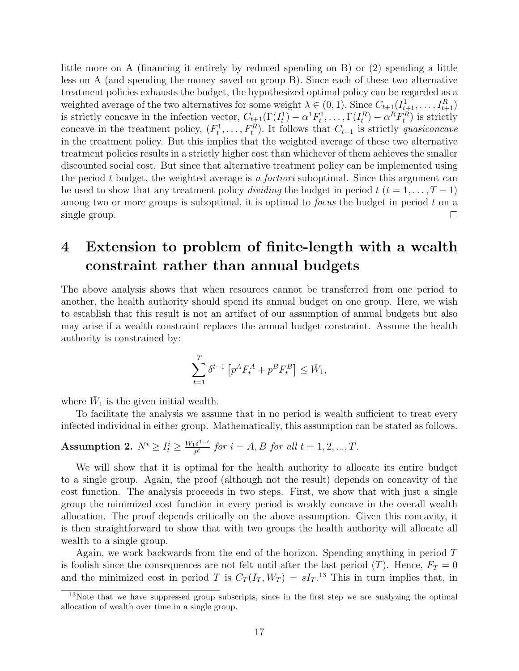little more on A (financing it entirely by reduced spending on B) or (2) spending a little less on A (and spending the money saved on group B). Since each of these two alternative treatment policies exhausts the budget, the hypothesized optimal policy can be regarded as a weighted average of the two alternatives for some weight  $\lambda \in (0,1)$ . Since  $C_{t+1}(I_{t+1}^1, \ldots, I_{t+1}^R)$ is strictly concave in the infection vector,  $C_{t+1}(\Gamma(I_t^1) - \alpha^1 F_t^1, \ldots, \Gamma(I_t^R) - \alpha^R F_t^R)$  is strictly concave in the treatment policy,  $(F_t^1, \ldots, F_t^R)$ . It follows that  $C_{t+1}$  is strictly *quasiconcave* in the treatment policy. But this implies that the weighted average of these two alternative treatment policies results in a strictly higher cost than whichever of them achieves the smaller discounted social cost. But since that alternative treatment policy can be implemented using the period t budget, the weighted average is *a fortiori* suboptimal. Since this argument can be used to show that any treatment policy *dividing* the budget in period  $t$  ( $t = 1, \ldots, T-1$ ) among two or more groups is suboptimal, it is optimal to *focus* the budget in period t on a single group.  $\Box$ 

## 4 Extension to problem of finite-length with a wealth constraint rather than annual budgets

The above analysis shows that when resources cannot be transferred from one period to another, the health authority should spend its annual budget on one group. Here, we wish to establish that this result is not an artifact of our assumption of annual budgets but also may arise if a wealth constraint replaces the annual budget constraint. Assume the health authority is constrained by:

$$
\sum_{t=1}^T \delta^{t-1} \left[ p^A F_t^A + p^B F_t^B \right] \le \bar{W}_1,
$$

where  $\bar{W}_1$  is the given initial wealth.

To facilitate the analysis we assume that in no period is wealth sufficient to treat every infected individual in either group. Mathematically, this assumption can be stated as follows.

**Assumption 2.** 
$$
N^i \ge I^i_t \ge \frac{\bar{W}_1 \delta^{1-t}}{p^i}
$$
 for  $i = A, B$  for all  $t = 1, 2, ..., T$ .

We will show that it is optimal for the health authority to allocate its entire budget to a single group. Again, the proof (although not the result) depends on concavity of the cost function. The analysis proceeds in two steps. First, we show that with just a single group the minimized cost function in every period is weakly concave in the overall wealth allocation. The proof depends critically on the above assumption. Given this concavity, it is then straightforward to show that with two groups the health authority will allocate all wealth to a single group.

Again, we work backwards from the end of the horizon. Spending anything in period  $T$ is foolish since the consequences are not felt until after the last period  $(T)$ . Hence,  $F_T = 0$ and the minimized cost in period T is  $C_T(I_T, W_T) = sI_T$ <sup>13</sup> This in turn implies that, in

<sup>&</sup>lt;sup>13</sup>Note that we have suppressed group subscripts, since in the first step we are analyzing the optimal allocation of wealth over time in a single group.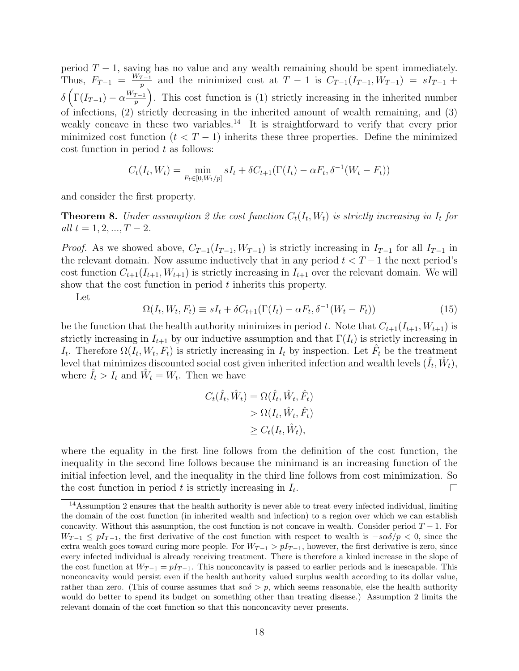period  $T - 1$ , saving has no value and any wealth remaining should be spent immediately. Thus,  $F_{T-1} = \frac{W_{T-1}}{n}$  $p_{p}^{T-1}$  and the minimized cost at  $T-1$  is  $C_{T-1}(I_{T-1}, W_{T-1}) = sI_{T-1} + sI_{T-1}$  $\delta\left(\Gamma(I_{T-1}) - \alpha \frac{W_{T-1}}{n}\right)$  $\binom{p-1}{p}$ . This cost function is (1) strictly increasing in the inherited number of infections, (2) strictly decreasing in the inherited amount of wealth remaining, and (3) weakly concave in these two variables.<sup>14</sup> It is straightforward to verify that every prior minimized cost function  $(t < T - 1)$  inherits these three properties. Define the minimized  $\cos t$  function in period  $t$  as follows:

$$
C_t(I_t, W_t) = \min_{F_t \in [0, W_t/p]} sI_t + \delta C_{t+1}(\Gamma(I_t) - \alpha F_t, \delta^{-1}(W_t - F_t))
$$

and consider the first property.

**Theorem 8.** Under assumption 2 the cost function  $C_t(I_t, W_t)$  is strictly increasing in  $I_t$  for *all*  $t = 1, 2, ..., T - 2$ .

*Proof.* As we showed above,  $C_{T-1}(I_{T-1}, W_{T-1})$  is strictly increasing in  $I_{T-1}$  for all  $I_{T-1}$  in the relevant domain. Now assume inductively that in any period  $t < T - 1$  the next period's cost function  $C_{t+1}(I_{t+1}, W_{t+1})$  is strictly increasing in  $I_{t+1}$  over the relevant domain. We will show that the cost function in period  $t$  inherits this property.

Let

$$
\Omega(I_t, W_t, F_t) \equiv sI_t + \delta C_{t+1}(\Gamma(I_t) - \alpha F_t, \delta^{-1}(W_t - F_t))
$$
\n(15)

be the function that the health authority minimizes in period t. Note that  $C_{t+1}(I_{t+1}, W_{t+1})$  is strictly increasing in  $I_{t+1}$  by our inductive assumption and that  $\Gamma(I_t)$  is strictly increasing in  $I_t$ . Therefore  $\Omega(I_t, W_t, F_t)$  is strictly increasing in  $I_t$  by inspection. Let  $\hat{F}_t$  be the treatment level that minimizes discounted social cost given inherited infection and wealth levels  $(\hat{I}_t, \hat{W}_t),$ where  $\hat{I}_t > I_t$  and  $\hat{W}_t = W_t$ . Then we have

$$
C_t(\hat{I}_t, \hat{W}_t) = \Omega(\hat{I}_t, \hat{W}_t, \hat{F}_t)
$$
  
> 
$$
\Omega(I_t, \hat{W}_t, \hat{F}_t)
$$
  

$$
\geq C_t(I_t, \hat{W}_t),
$$

where the equality in the first line follows from the definition of the cost function, the inequality in the second line follows because the minimand is an increasing function of the initial infection level, and the inequality in the third line follows from cost minimization. So the cost function in period  $t$  is strictly increasing in  $I_t$ .  $\Box$ 

<sup>14</sup>Assumption 2 ensures that the health authority is never able to treat every infected individual, limiting the domain of the cost function (in inherited wealth and infection) to a region over which we can establish concavity. Without this assumption, the cost function is not concave in wealth. Consider period  $T - 1$ . For  $W_{T-1} \leq pI_{T-1}$ , the first derivative of the cost function with respect to wealth is  $-s\alpha\delta/p < 0$ , since the extra wealth goes toward curing more people. For  $W_{T-1} > pI_{T-1}$ , however, the first derivative is zero, since every infected individual is already receiving treatment. There is therefore a kinked increase in the slope of the cost function at  $W_{T-1} = pI_{T-1}$ . This nonconcavity is passed to earlier periods and is inescapable. This nonconcavity would persist even if the health authority valued surplus wealth according to its dollar value, rather than zero. (This of course assumes that  $s\alpha\delta > p$ , which seems reasonable, else the health authority would do better to spend its budget on something other than treating disease.) Assumption 2 limits the relevant domain of the cost function so that this nonconcavity never presents.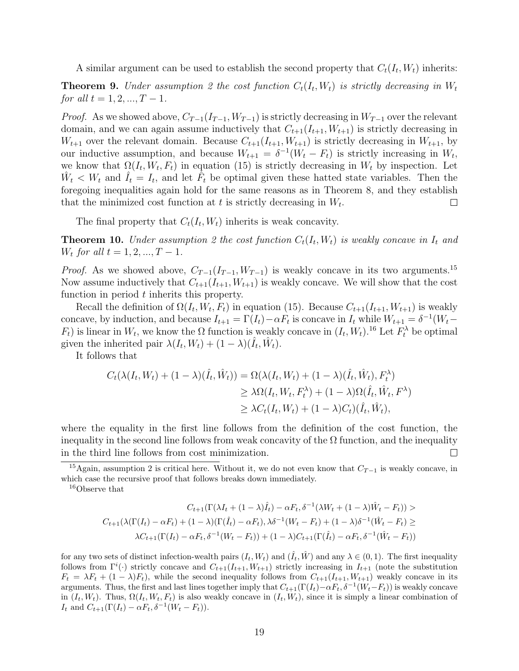A similar argument can be used to establish the second property that  $C_t(I_t, W_t)$  inherits:

**Theorem 9.** Under assumption 2 the cost function  $C_t(I_t, W_t)$  is strictly decreasing in  $W_t$ *for all*  $t = 1, 2, ..., T - 1$ *.* 

*Proof.* As we showed above,  $C_{T-1}(I_{T-1}, W_{T-1})$  is strictly decreasing in  $W_{T-1}$  over the relevant domain, and we can again assume inductively that  $C_{t+1}(I_{t+1}, W_{t+1})$  is strictly decreasing in  $W_{t+1}$  over the relevant domain. Because  $C_{t+1}(I_{t+1}, W_{t+1})$  is strictly decreasing in  $W_{t+1}$ , by our inductive assumption, and because  $W_{t+1} = \delta^{-1}(W_t - F_t)$  is strictly increasing in  $W_t$ , we know that  $\Omega(I_t, W_t, F_t)$  in equation (15) is strictly decreasing in  $W_t$  by inspection. Let  $\hat{W}_t \langle W_t \rangle = W_t$  and  $\hat{I}_t = I_t$ , and let  $\hat{F}_t$  be optimal given these hatted state variables. Then the foregoing inequalities again hold for the same reasons as in Theorem 8, and they establish that the minimized cost function at t is strictly decreasing in  $W_t$ .  $\Box$ 

The final property that  $C_t(I_t, W_t)$  inherits is weak concavity.

**Theorem 10.** Under assumption 2 the cost function  $C_t(I_t, W_t)$  is weakly concave in  $I_t$  and  $W_t$  *for all*  $t = 1, 2, ..., T - 1$ *.* 

*Proof.* As we showed above,  $C_{T-1}(I_{T-1}, W_{T-1})$  is weakly concave in its two arguments.<sup>15</sup> Now assume inductively that  $C_{t+1}(I_{t+1}, W_{t+1})$  is weakly concave. We will show that the cost function in period t inherits this property.

Recall the definition of  $\Omega(I_t, W_t, F_t)$  in equation (15). Because  $C_{t+1}(I_{t+1}, W_{t+1})$  is weakly concave, by induction, and because  $I_{t+1} = \Gamma(I_t) - \alpha F_t$  is concave in  $I_t$  while  $W_{t+1} = \delta^{-1}(W_t (F_t)$  is linear in  $W_t$ , we know the  $\Omega$  function is weakly concave in  $(I_t, W_t)$ .<sup>16</sup> Let  $F_t^{\lambda}$  be optimal given the inherited pair  $\lambda(I_t, W_t) + (1 - \lambda)(\hat{I}_t, \hat{W}_t)$ .

It follows that

$$
C_t(\lambda(I_t, W_t) + (1 - \lambda)(\hat{I}_t, \hat{W}_t)) = \Omega(\lambda(I_t, W_t) + (1 - \lambda)(\hat{I}_t, \hat{W}_t), F_t^{\lambda})
$$
  
\n
$$
\geq \lambda \Omega(I_t, W_t, F_t^{\lambda}) + (1 - \lambda)\Omega(\hat{I}_t, \hat{W}_t, F^{\lambda})
$$
  
\n
$$
\geq \lambda C_t(I_t, W_t) + (1 - \lambda)C_t)(\hat{I}_t, \hat{W}_t),
$$

where the equality in the first line follows from the definition of the cost function, the inequality in the second line follows from weak concavity of the  $\Omega$  function, and the inequality in the third line follows from cost minimization.  $\Box$ 

<sup>15</sup>Again, assumption 2 is critical here. Without it, we do not even know that  $C_{T-1}$  is weakly concave, in which case the recursive proof that follows breaks down immediately.

<sup>16</sup>Observe that

$$
C_{t+1}(\Gamma(\lambda I_t + (1-\lambda)\hat{I}_t) - \alpha F_t, \delta^{-1}(\lambda W_t + (1-\lambda)\hat{W}_t - F_t)) >
$$
  

$$
C_{t+1}(\lambda(\Gamma(I_t) - \alpha F_t) + (1-\lambda)(\Gamma(\hat{I}_t) - \alpha F_t), \lambda \delta^{-1}(W_t - F_t) + (1-\lambda)\delta^{-1}(\hat{W}_t - F_t) \ge
$$
  

$$
\lambda C_{t+1}(\Gamma(I_t) - \alpha F_t, \delta^{-1}(W_t - F_t)) + (1-\lambda)C_{t+1}(\Gamma(\hat{I}_t) - \alpha F_t, \delta^{-1}(\hat{W}_t - F_t))
$$

for any two sets of distinct infection-wealth pairs  $(I_t, W_t)$  and  $(\hat{I}_t, \hat{W})$  and any  $\lambda \in (0, 1)$ . The first inequality follows from  $\Gamma^i(\cdot)$  strictly concave and  $C_{t+1}(I_{t+1}, W_{t+1})$  strictly increasing in  $I_{t+1}$  (note the substitution  $F_t = \lambda F_t + (1 - \lambda) F_t$ , while the second inequality follows from  $C_{t+1}(I_{t+1}, W_{t+1})$  weakly concave in its arguments. Thus, the first and last lines together imply that  $C_{t+1}(\Gamma(I_t) - \alpha F_t, \delta^{-1}(W_t - F_t))$  is weakly concave in  $(I_t, W_t)$ . Thus,  $\Omega(I_t, W_t, F_t)$  is also weakly concave in  $(I_t, W_t)$ , since it is simply a linear combination of  $I_t$  and  $C_{t+1}(\Gamma(I_t) - \alpha F_t, \delta^{-1}(W_t - F_t)).$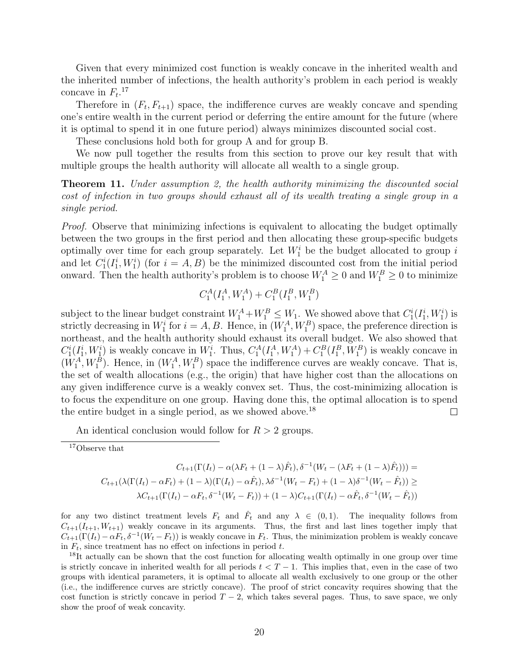Given that every minimized cost function is weakly concave in the inherited wealth and the inherited number of infections, the health authority's problem in each period is weakly concave in  $F_t$ <sup>17</sup>

Therefore in  $(F_t, F_{t+1})$  space, the indifference curves are weakly concave and spending one's entire wealth in the current period or deferring the entire amount for the future (where it is optimal to spend it in one future period) always minimizes discounted social cost.

These conclusions hold both for group A and for group B.

We now pull together the results from this section to prove our key result that with multiple groups the health authority will allocate all wealth to a single group.

Theorem 11. *Under assumption 2, the health authority minimizing the discounted social cost of infection in two groups should exhaust all of its wealth treating a single group in a single period.*

*Proof.* Observe that minimizing infections is equivalent to allocating the budget optimally between the two groups in the first period and then allocating these group-specific budgets optimally over time for each group separately. Let  $W_1^i$  be the budget allocated to group i and let  $C_1^i(I_1^i, W_1^i)$  (for  $i = A, B$ ) be the minimized discounted cost from the initial period onward. Then the health authority's problem is to choose  $W_1^A \geq 0$  and  $W_1^B \geq 0$  to minimize

$$
C_1^A(I_1^A, W_1^A) + C_1^B(I_1^B, W_1^B)
$$

subject to the linear budget constraint  $W_1^A + W_1^B \leq W_1$ . We showed above that  $C_1^i(I_1^i, W_1^i)$  is strictly decreasing in  $W_1^i$  for  $i = A, B$ . Hence, in  $(W_1^A, W_1^B)$  space, the preference direction is northeast, and the health authority should exhaust its overall budget. We also showed that  $C_1^i(I_1^i, W_1^i)$  is weakly concave in  $W_1^i$ . Thus,  $C_1^A(I_1^A, W_1^A) + C_1^B(I_1^B, W_1^B)$  is weakly concave in  $(W_1^A, W_1^B)$ . Hence, in  $(W_1^A, W_1^B)$  space the indifference curves are weakly concave. That is, the set of wealth allocations (e.g., the origin) that have higher cost than the allocations on any given indifference curve is a weakly convex set. Thus, the cost-minimizing allocation is to focus the expenditure on one group. Having done this, the optimal allocation is to spend the entire budget in a single period, as we showed above.<sup>18</sup>  $\Box$ 

An identical conclusion would follow for  $R > 2$  groups.

$$
C_{t+1}(\Gamma(I_t) - \alpha(\lambda F_t + (1 - \lambda)\hat{F}_t), \delta^{-1}(W_t - (\lambda F_t + (1 - \lambda)\hat{F}_t))) =
$$
  

$$
C_{t+1}(\lambda(\Gamma(I_t) - \alpha F_t) + (1 - \lambda)(\Gamma(I_t) - \alpha \hat{F}_t), \lambda \delta^{-1}(W_t - F_t) + (1 - \lambda)\delta^{-1}(W_t - \hat{F}_t)) \ge
$$
  

$$
\lambda C_{t+1}(\Gamma(I_t) - \alpha F_t, \delta^{-1}(W_t - F_t)) + (1 - \lambda)C_{t+1}(\Gamma(I_t) - \alpha \hat{F}_t, \delta^{-1}(W_t - \hat{F}_t))
$$

for any two distinct treatment levels  $F_t$  and  $\hat{F}_t$  and any  $\lambda \in (0,1)$ . The inequality follows from  $C_{t+1}(I_{t+1}, W_{t+1})$  weakly concave in its arguments. Thus, the first and last lines together imply that  $C_{t+1}(\Gamma(I_t) - \alpha F_t, \delta^{-1}(W_t - F_t))$  is weakly concave in  $F_t$ . Thus, the minimization problem is weakly concave in  $F_t$ , since treatment has no effect on infections in period t.

<sup>18</sup>It actually can be shown that the cost function for allocating wealth optimally in one group over time is strictly concave in inherited wealth for all periods  $t < T - 1$ . This implies that, even in the case of two groups with identical parameters, it is optimal to allocate all wealth exclusively to one group or the other (i.e., the indifference curves are strictly concave). The proof of strict concavity requires showing that the cost function is strictly concave in period  $T - 2$ , which takes several pages. Thus, to save space, we only show the proof of weak concavity.

<sup>&</sup>lt;sup>17</sup>Observe that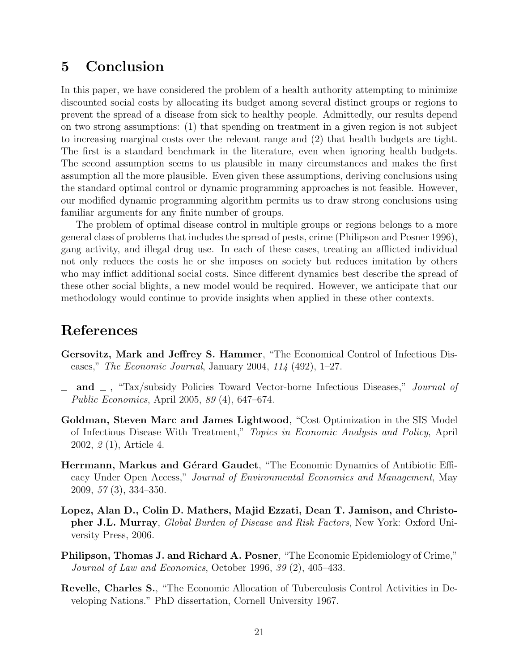## 5 Conclusion

In this paper, we have considered the problem of a health authority attempting to minimize discounted social costs by allocating its budget among several distinct groups or regions to prevent the spread of a disease from sick to healthy people. Admittedly, our results depend on two strong assumptions: (1) that spending on treatment in a given region is not subject to increasing marginal costs over the relevant range and (2) that health budgets are tight. The first is a standard benchmark in the literature, even when ignoring health budgets. The second assumption seems to us plausible in many circumstances and makes the first assumption all the more plausible. Even given these assumptions, deriving conclusions using the standard optimal control or dynamic programming approaches is not feasible. However, our modified dynamic programming algorithm permits us to draw strong conclusions using familiar arguments for any finite number of groups.

The problem of optimal disease control in multiple groups or regions belongs to a more general class of problems that includes the spread of pests, crime (Philipson and Posner 1996), gang activity, and illegal drug use. In each of these cases, treating an afflicted individual not only reduces the costs he or she imposes on society but reduces imitation by others who may inflict additional social costs. Since different dynamics best describe the spread of these other social blights, a new model would be required. However, we anticipate that our methodology would continue to provide insights when applied in these other contexts.

## References

- Gersovitz, Mark and Jeffrey S. Hammer, "The Economical Control of Infectious Diseases," *The Economic Journal*, January 2004, *114* (492), 1–27.
- and , "Tax/subsidy Policies Toward Vector-borne Infectious Diseases," *Journal of Public Economics*, April 2005, *89* (4), 647–674.
- Goldman, Steven Marc and James Lightwood, "Cost Optimization in the SIS Model of Infectious Disease With Treatment," *Topics in Economic Analysis and Policy*, April 2002, *2* (1), Article 4.
- Herrmann, Markus and Gérard Gaudet, "The Economic Dynamics of Antibiotic Efficacy Under Open Access," *Journal of Environmental Economics and Management*, May 2009, *57* (3), 334–350.
- Lopez, Alan D., Colin D. Mathers, Majid Ezzati, Dean T. Jamison, and Christopher J.L. Murray, *Global Burden of Disease and Risk Factors*, New York: Oxford University Press, 2006.
- Philipson, Thomas J. and Richard A. Posner, "The Economic Epidemiology of Crime," *Journal of Law and Economics*, October 1996, *39* (2), 405–433.
- Revelle, Charles S., "The Economic Allocation of Tuberculosis Control Activities in Developing Nations." PhD dissertation, Cornell University 1967.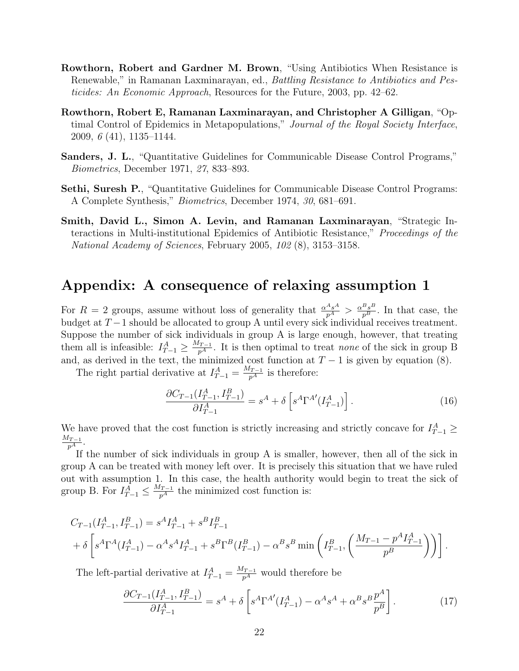- Rowthorn, Robert and Gardner M. Brown, "Using Antibiotics When Resistance is Renewable," in Ramanan Laxminarayan, ed., *Battling Resistance to Antibiotics and Pesticides: An Economic Approach*, Resources for the Future, 2003, pp. 42–62.
- Rowthorn, Robert E, Ramanan Laxminarayan, and Christopher A Gilligan, "Optimal Control of Epidemics in Metapopulations," *Journal of the Royal Society Interface*, 2009, *6* (41), 1135–1144.
- Sanders, J. L., "Quantitative Guidelines for Communicable Disease Control Programs," *Biometrics*, December 1971, *27*, 833–893.
- Sethi, Suresh P., "Quantitative Guidelines for Communicable Disease Control Programs: A Complete Synthesis," *Biometrics*, December 1974, *30*, 681–691.
- Smith, David L., Simon A. Levin, and Ramanan Laxminarayan, "Strategic Interactions in Multi-institutional Epidemics of Antibiotic Resistance," *Proceedings of the National Academy of Sciences*, February 2005, *102* (8), 3153–3158.

## Appendix: A consequence of relaxing assumption 1

For  $R=2$  groups, assume without loss of generality that  $\frac{\alpha^{A_s A}}{p^A} > \frac{\alpha^{B_s B}}{p^B}$ . In that case, the budget at  $T-1$  should be allocated to group A until every sick individual receives treatment. Suppose the number of sick individuals in group A is large enough, however, that treating them all is infeasible:  $I_{T-1}^A \geq \frac{M_{T-1}}{p^A}$ . It is then optimal to treat *none* of the sick in group B and, as derived in the text, the minimized cost function at  $T - 1$  is given by equation (8).

The right partial derivative at  $I_{T-1}^A = \frac{M_{T-1}}{p^A}$  is therefore:

$$
\frac{\partial C_{T-1}(I_{T-1}^A, I_{T-1}^B)}{\partial I_{T-1}^A} = s^A + \delta \left[ s^A \Gamma^{A'}(I_{T-1}^A) \right]. \tag{16}
$$

We have proved that the cost function is strictly increasing and strictly concave for  $I_{T-1}^A \geq$  $\frac{M_{T-1}}{p^{A}}.$ 

If the number of sick individuals in group A is smaller, however, then all of the sick in group A can be treated with money left over. It is precisely this situation that we have ruled out with assumption 1. In this case, the health authority would begin to treat the sick of group B. For  $I_{T-1}^{\overline{A}} \leq \frac{M_{T-1}}{p^A}$  the minimized cost function is:

$$
C_{T-1}(I_{T-1}^A, I_{T-1}^B) = s^A I_{T-1}^A + s^B I_{T-1}^B
$$
  
+  $\delta \left[ s^A \Gamma^A (I_{T-1}^A) - \alpha^A s^A I_{T-1}^A + s^B \Gamma^B (I_{T-1}^B) - \alpha^B s^B \min \left( I_{T-1}^B, \left( \frac{M_{T-1} - p^A I_{T-1}^A}{p^B} \right) \right) \right].$ 

The left-partial derivative at  $I_{T-1}^A = \frac{M_{T-1}}{p^A}$  would therefore be

$$
\frac{\partial C_{T-1}(I_{T-1}^A, I_{T-1}^B)}{\partial I_{T-1}^A} = s^A + \delta \left[ s^A \Gamma^{A'}(I_{T-1}^A) - \alpha^A s^A + \alpha^B s^B \frac{p^A}{p^B} \right]. \tag{17}
$$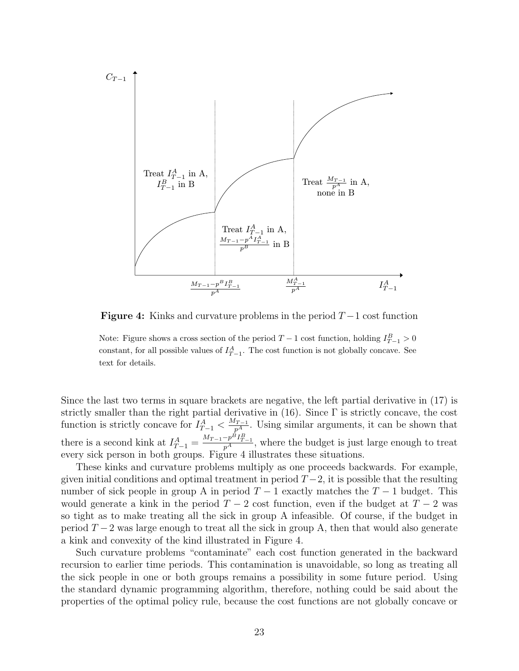

**Figure 4:** Kinks and curvature problems in the period  $T-1$  cost function

Note: Figure shows a cross section of the period  $T-1$  cost function, holding  $I_{T-1}^B > 0$ constant, for all possible values of  $I_{T-1}^A$ . The cost function is not globally concave. See text for details.

Since the last two terms in square brackets are negative, the left partial derivative in (17) is strictly smaller than the right partial derivative in  $(16)$ . Since  $\Gamma$  is strictly concave, the cost function is strictly concave for  $I_{T-1}^A < \frac{M_{T-1}}{p^A}$ . Using similar arguments, it can be shown that there is a second kink at  $I_{T-1}^A = \frac{M_{T-1}-p^B I_{T-1}^B}{p^A}$ , where the budget is just large enough to treat every sick person in both groups. Figure 4 illustrates these situations.

These kinks and curvature problems multiply as one proceeds backwards. For example, given initial conditions and optimal treatment in period  $T-2$ , it is possible that the resulting number of sick people in group A in period  $T-1$  exactly matches the  $T-1$  budget. This would generate a kink in the period  $T-2$  cost function, even if the budget at  $T-2$  was so tight as to make treating all the sick in group A infeasible. Of course, if the budget in period  $T-2$  was large enough to treat all the sick in group A, then that would also generate a kink and convexity of the kind illustrated in Figure 4.

Such curvature problems "contaminate" each cost function generated in the backward recursion to earlier time periods. This contamination is unavoidable, so long as treating all the sick people in one or both groups remains a possibility in some future period. Using the standard dynamic programming algorithm, therefore, nothing could be said about the properties of the optimal policy rule, because the cost functions are not globally concave or